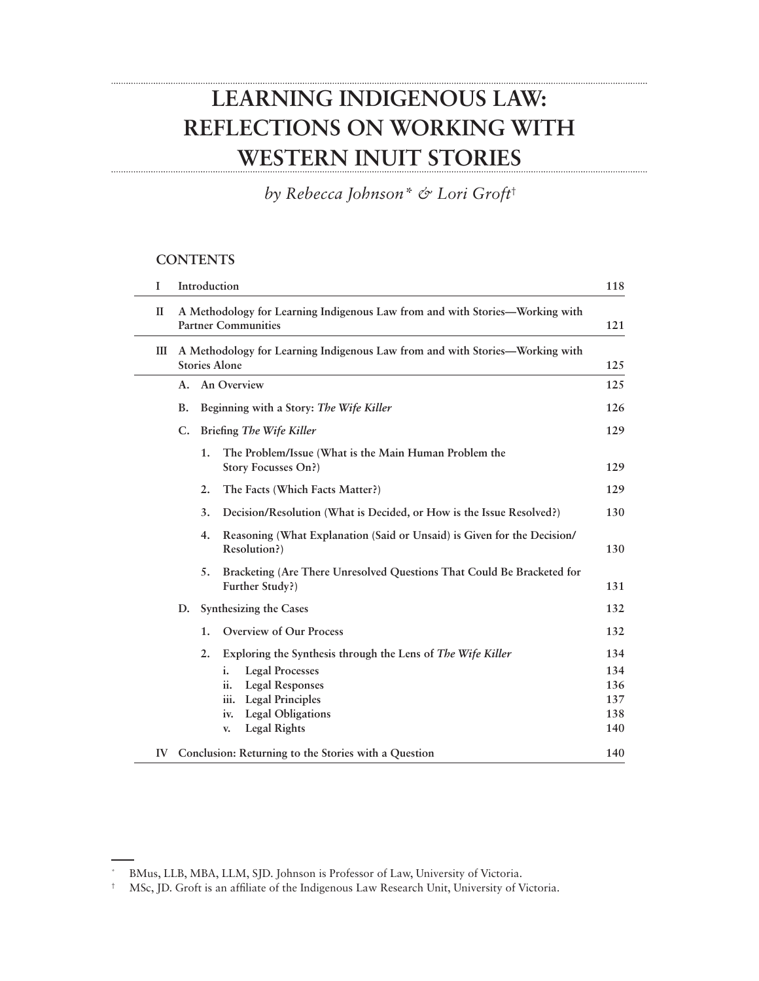# **LEARNING INDIGENOUS LAW: REFLECTIONS ON WORKING WITH WESTERN INUIT STORIES**

*by Rebecca Johnson\* & Lori Groft*†

### **CONTENTS**

| I            | Introduction                                                                                               |                          |                                                                                                                                                                                                                                 | 118                                    |
|--------------|------------------------------------------------------------------------------------------------------------|--------------------------|---------------------------------------------------------------------------------------------------------------------------------------------------------------------------------------------------------------------------------|----------------------------------------|
| $\mathbf{I}$ | A Methodology for Learning Indigenous Law from and with Stories—Working with<br><b>Partner Communities</b> |                          |                                                                                                                                                                                                                                 | 121                                    |
| Ш            | A Methodology for Learning Indigenous Law from and with Stories-Working with<br><b>Stories Alone</b>       |                          |                                                                                                                                                                                                                                 | 125                                    |
|              | An Overview<br>A.                                                                                          |                          |                                                                                                                                                                                                                                 | 125                                    |
| <b>B.</b>    |                                                                                                            |                          | Beginning with a Story: The Wife Killer                                                                                                                                                                                         | 126                                    |
|              | C.                                                                                                         | Briefing The Wife Killer |                                                                                                                                                                                                                                 | 129                                    |
|              |                                                                                                            | 1.                       | The Problem/Issue (What is the Main Human Problem the<br>Story Focusses On?)                                                                                                                                                    | 129                                    |
|              |                                                                                                            | 2.                       | The Facts (Which Facts Matter?)                                                                                                                                                                                                 | 129                                    |
|              |                                                                                                            | 3.                       | Decision/Resolution (What is Decided, or How is the Issue Resolved?)                                                                                                                                                            | 130                                    |
|              |                                                                                                            | 4.                       | Reasoning (What Explanation (Said or Unsaid) is Given for the Decision/<br>Resolution?)                                                                                                                                         | 130                                    |
|              |                                                                                                            | 5.                       | Bracketing (Are There Unresolved Questions That Could Be Bracketed for<br>Further Study?)                                                                                                                                       | 131                                    |
|              | Synthesizing the Cases<br>D.                                                                               |                          |                                                                                                                                                                                                                                 | 132                                    |
|              |                                                                                                            | 1.                       | Overview of Our Process                                                                                                                                                                                                         | 132                                    |
|              |                                                                                                            | 2.                       | Exploring the Synthesis through the Lens of The Wife Killer<br>i.<br><b>Legal Processes</b><br><b>Legal Responses</b><br>ii.<br><b>Legal Principles</b><br>iii.<br><b>Legal Obligations</b><br>iv.<br><b>Legal Rights</b><br>V. | 134<br>134<br>136<br>137<br>138<br>140 |
| IV           | Conclusion: Returning to the Stories with a Question<br>140                                                |                          |                                                                                                                                                                                                                                 |                                        |

BMus, LLB, MBA, LLM, SJD. Johnson is Professor of Law, University of Victoria.

<sup>†</sup> MSc, JD. Groft is an affiliate of the Indigenous Law Research Unit, University of Victoria.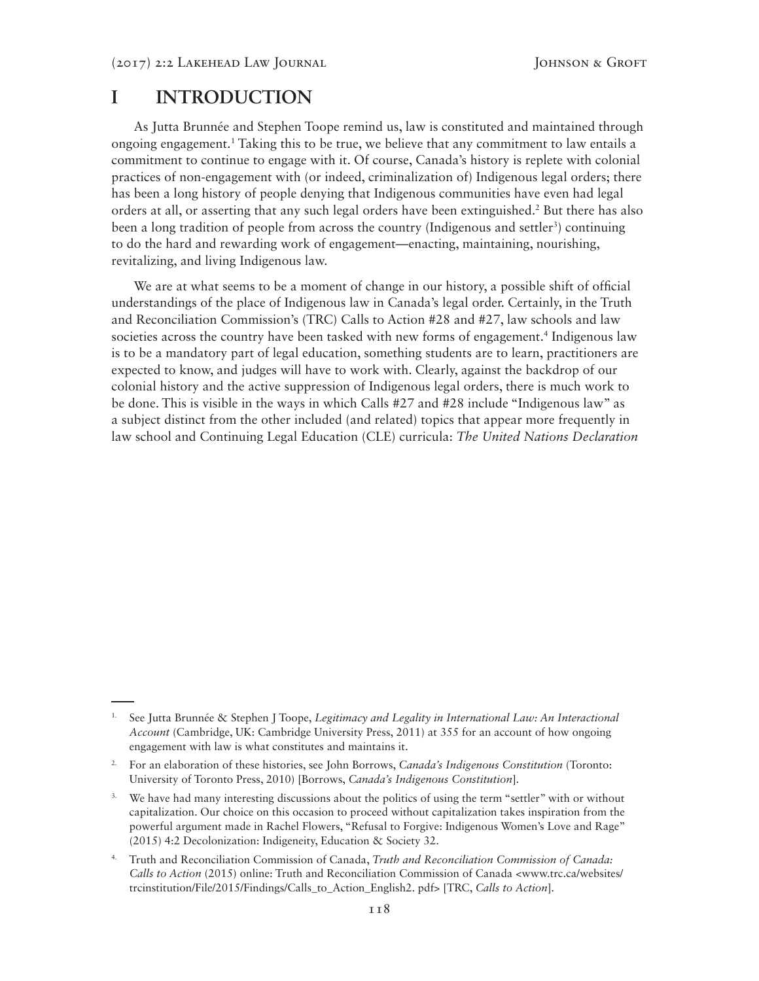## **I INTRODUCTION**

As Jutta Brunnée and Stephen Toope remind us, law is constituted and maintained through ongoing engagement.1 Taking this to be true, we believe that any commitment to law entails a commitment to continue to engage with it. Of course, Canada's history is replete with colonial practices of non-engagement with (or indeed, criminalization of) Indigenous legal orders; there has been a long history of people denying that Indigenous communities have even had legal orders at all, or asserting that any such legal orders have been extinguished.<sup>2</sup> But there has also been a long tradition of people from across the country (Indigenous and settler<sup>3</sup>) continuing to do the hard and rewarding work of engagement—enacting, maintaining, nourishing, revitalizing, and living Indigenous law.

We are at what seems to be a moment of change in our history, a possible shift of official understandings of the place of Indigenous law in Canada's legal order. Certainly, in the Truth and Reconciliation Commission's (TRC) Calls to Action #28 and #27, law schools and law societies across the country have been tasked with new forms of engagement.<sup>4</sup> Indigenous law is to be a mandatory part of legal education, something students are to learn, practitioners are expected to know, and judges will have to work with. Clearly, against the backdrop of our colonial history and the active suppression of Indigenous legal orders, there is much work to be done. This is visible in the ways in which Calls #27 and #28 include "Indigenous law" as a subject distinct from the other included (and related) topics that appear more frequently in law school and Continuing Legal Education (CLE) curricula: *The United Nations Declaration* 

<sup>1.</sup> See Jutta Brunnée & Stephen J Toope, *Legitimacy and Legality in International Law: An Interactional Account* (Cambridge, UK: Cambridge University Press, 2011) at 355 for an account of how ongoing engagement with law is what constitutes and maintains it.

<sup>2.</sup> For an elaboration of these histories, see John Borrows, *Canada's Indigenous Constitution* (Toronto: University of Toronto Press, 2010) [Borrows, *Canada's Indigenous Constitution*].

We have had many interesting discussions about the politics of using the term "settler" with or without capitalization. Our choice on this occasion to proceed without capitalization takes inspiration from the powerful argument made in Rachel Flowers, "Refusal to Forgive: Indigenous Women's Love and Rage" (2015) 4:2 Decolonization: Indigeneity, Education & Society 32.

<sup>4.</sup> Truth and Reconciliation Commission of Canada, *Truth and Reconciliation Commission of Canada: Calls to Action* (2015) online: Truth and Reconciliation Commission of Canada <www.trc.ca/websites/ trcinstitution/File/2015/Findings/Calls\_to\_Action\_English2. pdf> [TRC, *Calls to Action*].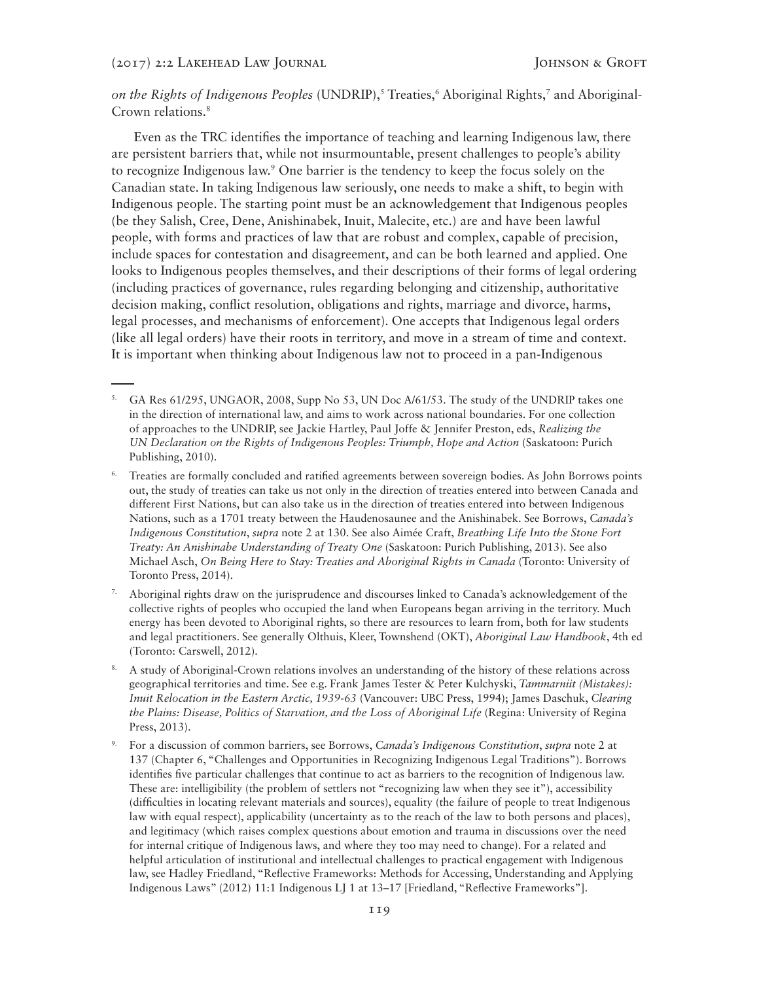on the Rights of Indigenous Peoples (UNDRIP),<sup>5</sup> Treaties,<sup>6</sup> Aboriginal Rights,<sup>7</sup> and Aboriginal-Crown relations.8

Even as the TRC identifies the importance of teaching and learning Indigenous law, there are persistent barriers that, while not insurmountable, present challenges to people's ability to recognize Indigenous law.<sup>9</sup> One barrier is the tendency to keep the focus solely on the Canadian state. In taking Indigenous law seriously, one needs to make a shift, to begin with Indigenous people. The starting point must be an acknowledgement that Indigenous peoples (be they Salish, Cree, Dene, Anishinabek, Inuit, Malecite, etc.) are and have been lawful people, with forms and practices of law that are robust and complex, capable of precision, include spaces for contestation and disagreement, and can be both learned and applied. One looks to Indigenous peoples themselves, and their descriptions of their forms of legal ordering (including practices of governance, rules regarding belonging and citizenship, authoritative decision making, conflict resolution, obligations and rights, marriage and divorce, harms, legal processes, and mechanisms of enforcement). One accepts that Indigenous legal orders (like all legal orders) have their roots in territory, and move in a stream of time and context. It is important when thinking about Indigenous law not to proceed in a pan-Indigenous

- 5. GA Res 61/295, UNGAOR, 2008, Supp No 53, UN Doc A/61/53. The study of the UNDRIP takes one in the direction of international law, and aims to work across national boundaries. For one collection of approaches to the UNDRIP, see Jackie Hartley, Paul Joffe & Jennifer Preston, eds, *Realizing the UN Declaration on the Rights of Indigenous Peoples: Triumph, Hope and Action* (Saskatoon: Purich Publishing, 2010).
- Treaties are formally concluded and ratified agreements between sovereign bodies. As John Borrows points out, the study of treaties can take us not only in the direction of treaties entered into between Canada and different First Nations, but can also take us in the direction of treaties entered into between Indigenous Nations, such as a 1701 treaty between the Haudenosaunee and the Anishinabek. See Borrows, *Canada's Indigenous Constitution*, *supra* note 2 at 130. See also Aimée Craft, *Breathing Life Into the Stone Fort Treaty: An Anishinabe Understanding of Treaty One* (Saskatoon: Purich Publishing, 2013). See also Michael Asch, *On Being Here to Stay: Treaties and Aboriginal Rights in Canada* (Toronto: University of Toronto Press, 2014).
- 7. Aboriginal rights draw on the jurisprudence and discourses linked to Canada's acknowledgement of the collective rights of peoples who occupied the land when Europeans began arriving in the territory. Much energy has been devoted to Aboriginal rights, so there are resources to learn from, both for law students and legal practitioners. See generally Olthuis, Kleer, Townshend (OKT), *Aboriginal Law Handbook*, 4th ed (Toronto: Carswell, 2012)*.*
- 8. A study of Aboriginal-Crown relations involves an understanding of the history of these relations across geographical territories and time. See e.g. Frank James Tester & Peter Kulchyski, *Tammarniit (Mistakes): Inuit Relocation in the Eastern Arctic, 1939-63* (Vancouver: UBC Press, 1994); James Daschuk, *Clearing the Plains: Disease, Politics of Starvation, and the Loss of Aboriginal Life* (Regina: University of Regina Press, 2013).
- 9. For a discussion of common barriers, see Borrows, *Canada's Indigenous Constitution*, *supra* note 2 at 137 (Chapter 6, "Challenges and Opportunities in Recognizing Indigenous Legal Traditions"). Borrows identifies five particular challenges that continue to act as barriers to the recognition of Indigenous law. These are: intelligibility (the problem of settlers not "recognizing law when they see it"), accessibility (difficulties in locating relevant materials and sources), equality (the failure of people to treat Indigenous law with equal respect), applicability (uncertainty as to the reach of the law to both persons and places), and legitimacy (which raises complex questions about emotion and trauma in discussions over the need for internal critique of Indigenous laws, and where they too may need to change). For a related and helpful articulation of institutional and intellectual challenges to practical engagement with Indigenous law, see Hadley Friedland, "Reflective Frameworks: Methods for Accessing, Understanding and Applying Indigenous Laws" (2012) 11:1 Indigenous LJ 1 at 13–17 [Friedland, "Reflective Frameworks"].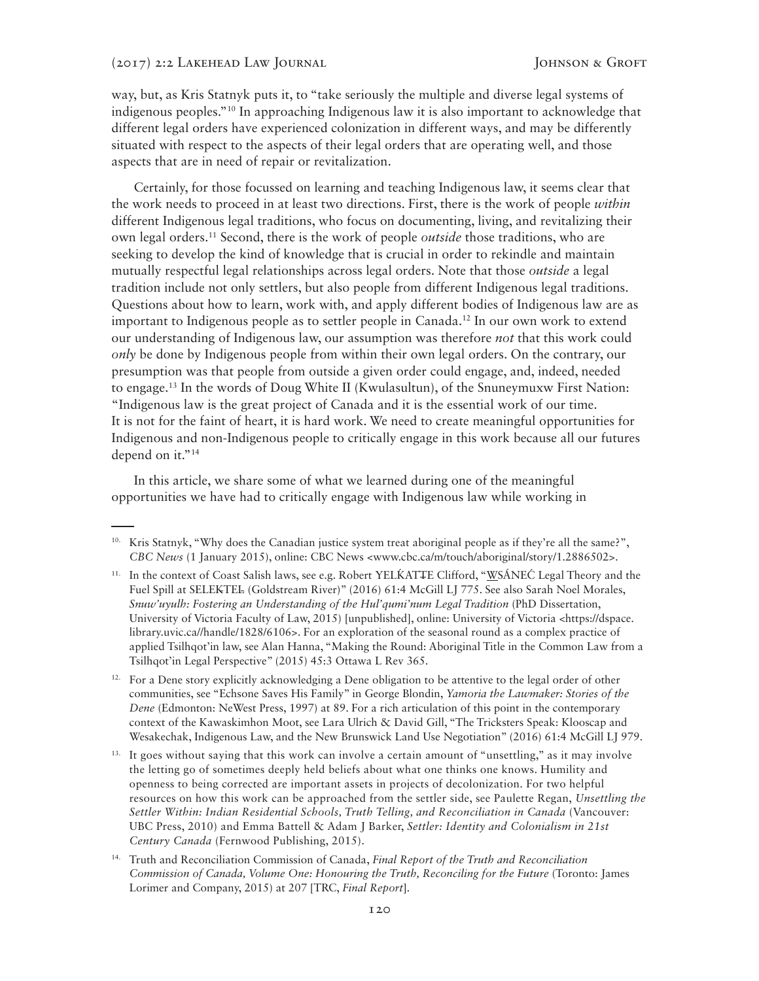way, but, as Kris Statnyk puts it, to "take seriously the multiple and diverse legal systems of indigenous peoples."10 In approaching Indigenous law it is also important to acknowledge that different legal orders have experienced colonization in different ways, and may be differently situated with respect to the aspects of their legal orders that are operating well, and those aspects that are in need of repair or revitalization.

Certainly, for those focussed on learning and teaching Indigenous law, it seems clear that the work needs to proceed in at least two directions. First, there is the work of people *within* different Indigenous legal traditions, who focus on documenting, living, and revitalizing their own legal orders.11 Second, there is the work of people *outside* those traditions, who are seeking to develop the kind of knowledge that is crucial in order to rekindle and maintain mutually respectful legal relationships across legal orders. Note that those *outside* a legal tradition include not only settlers, but also people from different Indigenous legal traditions. Questions about how to learn, work with, and apply different bodies of Indigenous law are as important to Indigenous people as to settler people in Canada.12 In our own work to extend our understanding of Indigenous law, our assumption was therefore *not* that this work could *only* be done by Indigenous people from within their own legal orders. On the contrary, our presumption was that people from outside a given order could engage, and, indeed, needed to engage.13 In the words of Doug White II (Kwulasultun), of the Snuneymuxw First Nation: "Indigenous law is the great project of Canada and it is the essential work of our time. It is not for the faint of heart, it is hard work. We need to create meaningful opportunities for Indigenous and non-Indigenous people to critically engage in this work because all our futures depend on it."<sup>14</sup>

In this article, we share some of what we learned during one of the meaningful opportunities we have had to critically engage with Indigenous law while working in

<sup>&</sup>lt;sup>10.</sup> Kris Statnyk, "Why does the Canadian justice system treat aboriginal people as if they're all the same?", *CBC News* (1 January 2015), online: CBC News <www.cbc.ca/m/touch/aboriginal/story/1.2886502>.

<sup>&</sup>lt;sup>11.</sup> In the context of Coast Salish laws, see e.g. Robert YELKATTE Clifford, "WSÁNEC Legal Theory and the Fuel Spill at SELEKTEL (Goldstream River)" (2016) 61:4 McGill LJ 775. See also Sarah Noel Morales, *Snuw'uyulh: Fostering an Understanding of the Hul'qumi'num Legal Tradition* (PhD Dissertation, University of Victoria Faculty of Law, 2015) [unpublished], online: University of Victoria <https://dspace. library.uvic.ca//handle/1828/6106>. For an exploration of the seasonal round as a complex practice of applied Tsilhqot'in law, see Alan Hanna, "Making the Round: Aboriginal Title in the Common Law from a Tsilhqot'in Legal Perspective" (2015) 45:3 Ottawa L Rev 365.

<sup>&</sup>lt;sup>12.</sup> For a Dene story explicitly acknowledging a Dene obligation to be attentive to the legal order of other communities, see "Echsone Saves His Family" in George Blondin, *Yamoria the Lawmaker: Stories of the Dene* (Edmonton: NeWest Press, 1997) at 89. For a rich articulation of this point in the contemporary context of the Kawaskimhon Moot, see Lara Ulrich & David Gill, "The Tricksters Speak: Klooscap and Wesakechak, Indigenous Law, and the New Brunswick Land Use Negotiation" (2016) 61:4 McGill LJ 979.

<sup>&</sup>lt;sup>13.</sup> It goes without saying that this work can involve a certain amount of "unsettling," as it may involve the letting go of sometimes deeply held beliefs about what one thinks one knows. Humility and openness to being corrected are important assets in projects of decolonization. For two helpful resources on how this work can be approached from the settler side, see Paulette Regan, *Unsettling the Settler Within: Indian Residential Schools, Truth Telling, and Reconciliation in Canada* (Vancouver: UBC Press, 2010) and Emma Battell & Adam J Barker, *Settler: Identity and Colonialism in 21st Century Canada* (Fernwood Publishing, 2015).

<sup>14.</sup> Truth and Reconciliation Commission of Canada, *Final Report of the Truth and Reconciliation Commission of Canada, Volume One: Honouring the Truth, Reconciling for the Future* (Toronto: James Lorimer and Company, 2015) at 207 [TRC, *Final Report*].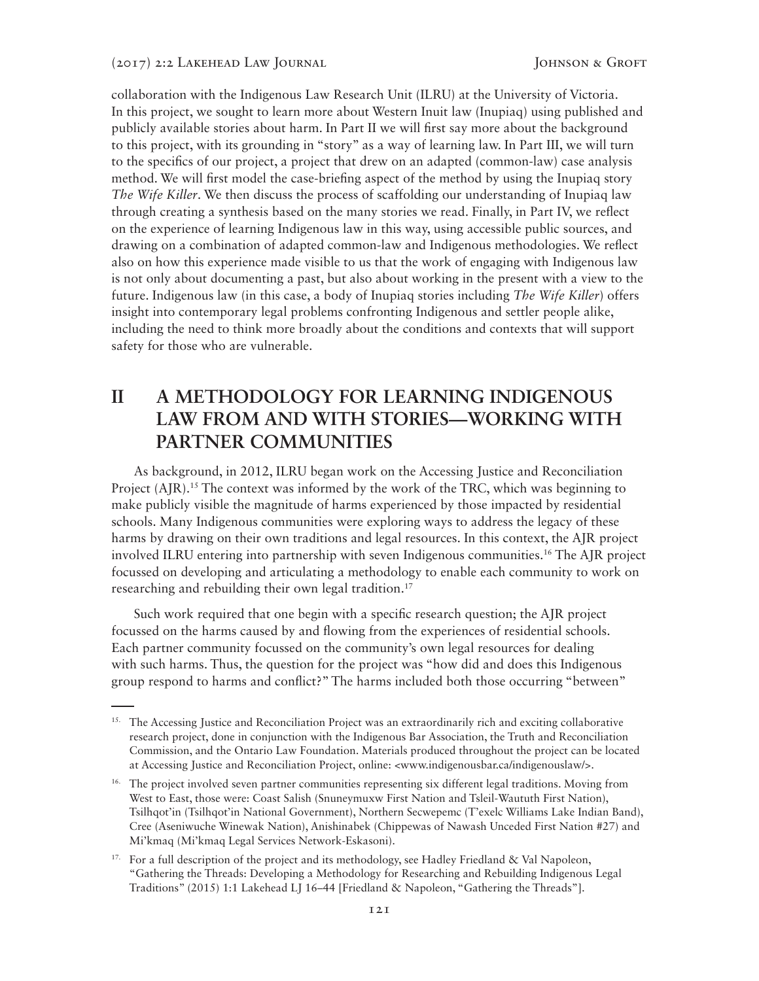collaboration with the Indigenous Law Research Unit (ILRU) at the University of Victoria. In this project, we sought to learn more about Western Inuit law (Inupiaq) using published and publicly available stories about harm. In Part II we will first say more about the background to this project, with its grounding in "story" as a way of learning law. In Part III, we will turn to the specifics of our project, a project that drew on an adapted (common-law) case analysis method. We will first model the case-briefing aspect of the method by using the Inupiaq story *The Wife Killer*. We then discuss the process of scaffolding our understanding of Inupiaq law through creating a synthesis based on the many stories we read. Finally, in Part IV, we reflect on the experience of learning Indigenous law in this way, using accessible public sources, and drawing on a combination of adapted common-law and Indigenous methodologies. We reflect also on how this experience made visible to us that the work of engaging with Indigenous law is not only about documenting a past, but also about working in the present with a view to the future. Indigenous law (in this case, a body of Inupiaq stories including *The Wife Killer*) offers insight into contemporary legal problems confronting Indigenous and settler people alike, including the need to think more broadly about the conditions and contexts that will support safety for those who are vulnerable.

# **II A METHODOLOGY FOR LEARNING INDIGENOUS LAW FROM AND WITH STORIES—WORKING WITH PARTNER COMMUNITIES**

As background, in 2012, ILRU began work on the Accessing Justice and Reconciliation Project  $(AIR)$ .<sup>15</sup> The context was informed by the work of the TRC, which was beginning to make publicly visible the magnitude of harms experienced by those impacted by residential schools. Many Indigenous communities were exploring ways to address the legacy of these harms by drawing on their own traditions and legal resources. In this context, the AJR project involved ILRU entering into partnership with seven Indigenous communities.16 The AJR project focussed on developing and articulating a methodology to enable each community to work on researching and rebuilding their own legal tradition.<sup>17</sup>

Such work required that one begin with a specific research question; the AJR project focussed on the harms caused by and flowing from the experiences of residential schools. Each partner community focussed on the community's own legal resources for dealing with such harms. Thus, the question for the project was "how did and does this Indigenous group respond to harms and conflict?" The harms included both those occurring "between"

<sup>&</sup>lt;sup>15.</sup> The Accessing Justice and Reconciliation Project was an extraordinarily rich and exciting collaborative research project, done in conjunction with the Indigenous Bar Association, the Truth and Reconciliation Commission, and the Ontario Law Foundation. Materials produced throughout the project can be located at Accessing Justice and Reconciliation Project, online: <www.indigenousbar.ca/indigenouslaw/>.

<sup>&</sup>lt;sup>16.</sup> The project involved seven partner communities representing six different legal traditions. Moving from West to East, those were: Coast Salish (Snuneymuxw First Nation and Tsleil-Waututh First Nation), Tsilhqot'in (Tsilhqot'in National Government), Northern Secwepemc (T'exelc Williams Lake Indian Band), Cree (Aseniwuche Winewak Nation), Anishinabek (Chippewas of Nawash Unceded First Nation #27) and Mi'kmaq (Mi'kmaq Legal Services Network-Eskasoni).

<sup>&</sup>lt;sup>17.</sup> For a full description of the project and its methodology, see Hadley Friedland & Val Napoleon, "Gathering the Threads: Developing a Methodology for Researching and Rebuilding Indigenous Legal Traditions" (2015) 1:1 Lakehead LJ 16–44 [Friedland & Napoleon, "Gathering the Threads"].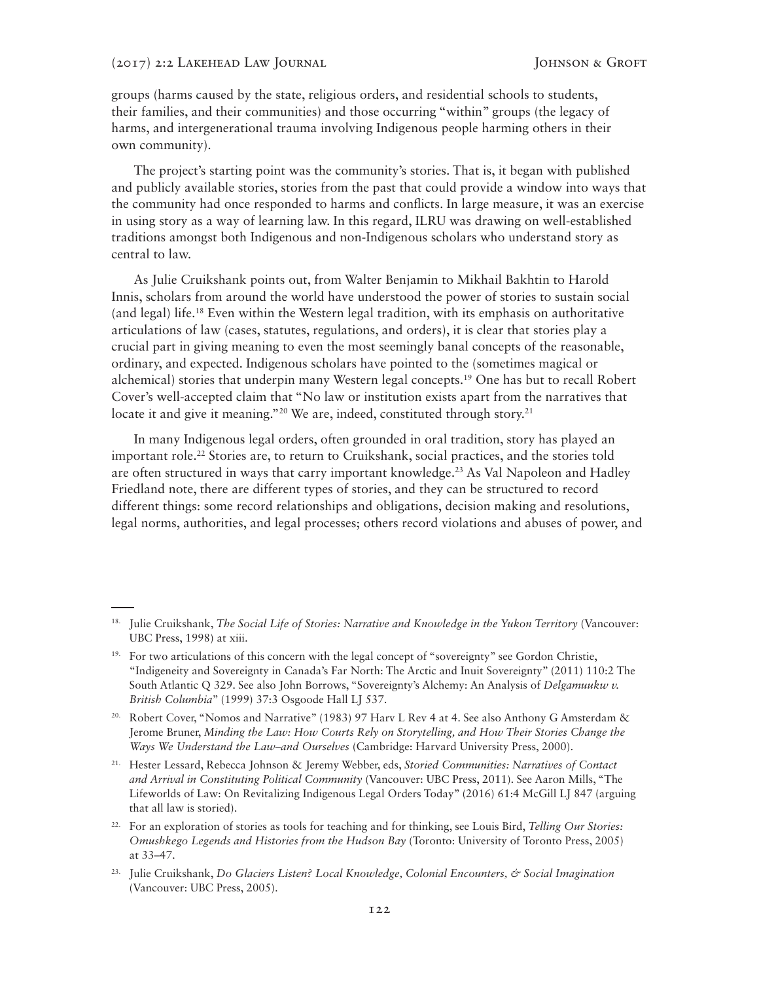groups (harms caused by the state, religious orders, and residential schools to students, their families, and their communities) and those occurring "within" groups (the legacy of harms, and intergenerational trauma involving Indigenous people harming others in their own community).

The project's starting point was the community's stories. That is, it began with published and publicly available stories, stories from the past that could provide a window into ways that the community had once responded to harms and conflicts. In large measure, it was an exercise in using story as a way of learning law. In this regard, ILRU was drawing on well-established traditions amongst both Indigenous and non-Indigenous scholars who understand story as central to law.

As Julie Cruikshank points out, from Walter Benjamin to Mikhail Bakhtin to Harold Innis, scholars from around the world have understood the power of stories to sustain social (and legal) life.18 Even within the Western legal tradition, with its emphasis on authoritative articulations of law (cases, statutes, regulations, and orders), it is clear that stories play a crucial part in giving meaning to even the most seemingly banal concepts of the reasonable, ordinary, and expected. Indigenous scholars have pointed to the (sometimes magical or alchemical) stories that underpin many Western legal concepts.19 One has but to recall Robert Cover's well-accepted claim that "No law or institution exists apart from the narratives that locate it and give it meaning."<sup>20</sup> We are, indeed, constituted through story.<sup>21</sup>

In many Indigenous legal orders, often grounded in oral tradition, story has played an important role.<sup>22</sup> Stories are, to return to Cruikshank, social practices, and the stories told are often structured in ways that carry important knowledge.23 As Val Napoleon and Hadley Friedland note, there are different types of stories, and they can be structured to record different things: some record relationships and obligations, decision making and resolutions, legal norms, authorities, and legal processes; others record violations and abuses of power, and

<sup>18.</sup> Julie Cruikshank, *The Social Life of Stories: Narrative and Knowledge in the Yukon Territory* (Vancouver: UBC Press, 1998) at xiii.

<sup>&</sup>lt;sup>19.</sup> For two articulations of this concern with the legal concept of "sovereignty" see Gordon Christie, "Indigeneity and Sovereignty in Canada's Far North: The Arctic and Inuit Sovereignty" (2011) 110:2 The South Atlantic Q 329. See also John Borrows, "Sovereignty's Alchemy: An Analysis of *Delgamuukw v. British Columbia*" (1999) 37:3 Osgoode Hall LJ 537.

<sup>&</sup>lt;sup>20.</sup> Robert Cover, "Nomos and Narrative" (1983) 97 Harv L Rev 4 at 4. See also Anthony G Amsterdam & Jerome Bruner, *Minding the Law: How Courts Rely on Storytelling, and How Their Stories Change the Ways We Understand the Law*–*and Ourselves* (Cambridge: Harvard University Press, 2000).

<sup>21.</sup> Hester Lessard, Rebecca Johnson & Jeremy Webber, eds, *Storied Communities: Narratives of Contact and Arrival in Constituting Political Community* (Vancouver: UBC Press, 2011). See Aaron Mills, "The Lifeworlds of Law: On Revitalizing Indigenous Legal Orders Today" (2016) 61:4 McGill LJ 847 (arguing that all law is storied).

<sup>22.</sup> For an exploration of stories as tools for teaching and for thinking, see Louis Bird, *Telling Our Stories: Omushkego Legends and Histories from the Hudson Bay* (Toronto: University of Toronto Press, 2005) at 33–47.

<sup>23.</sup> Julie Cruikshank, *Do Glaciers Listen? Local Knowledge, Colonial Encounters, & Social Imagination* (Vancouver: UBC Press, 2005).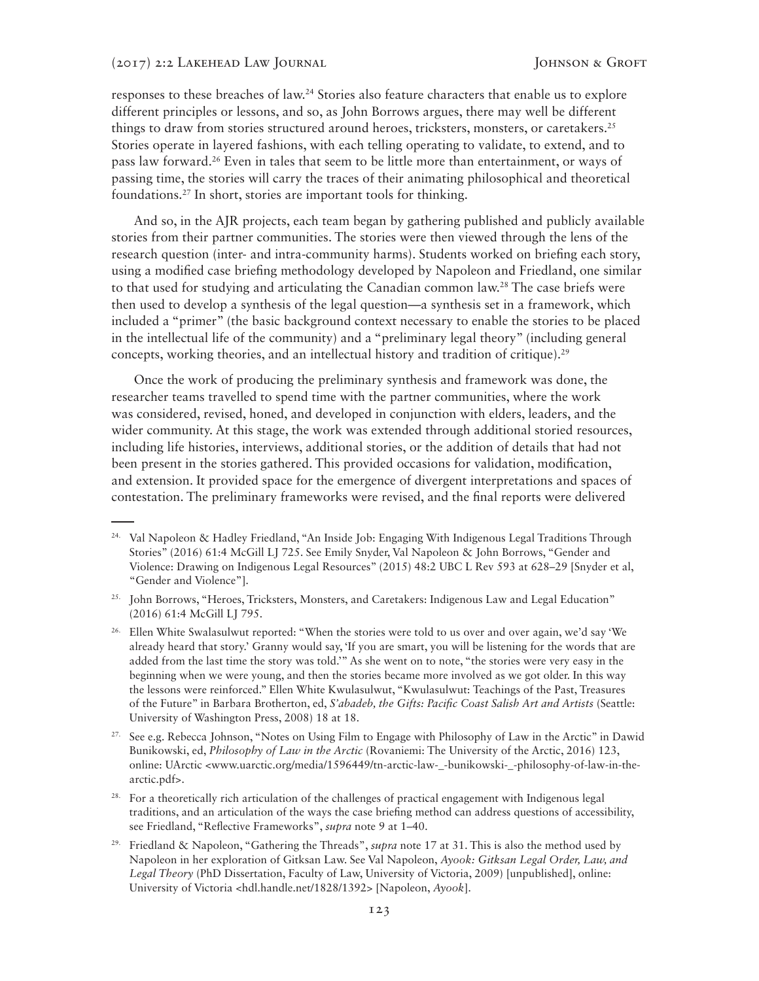responses to these breaches of law.24 Stories also feature characters that enable us to explore different principles or lessons, and so, as John Borrows argues, there may well be different things to draw from stories structured around heroes, tricksters, monsters, or caretakers.<sup>25</sup> Stories operate in layered fashions, with each telling operating to validate, to extend, and to pass law forward.26 Even in tales that seem to be little more than entertainment, or ways of passing time, the stories will carry the traces of their animating philosophical and theoretical foundations.27 In short, stories are important tools for thinking.

And so, in the AJR projects, each team began by gathering published and publicly available stories from their partner communities. The stories were then viewed through the lens of the research question (inter- and intra-community harms). Students worked on briefing each story, using a modified case briefing methodology developed by Napoleon and Friedland, one similar to that used for studying and articulating the Canadian common law.<sup>28</sup> The case briefs were then used to develop a synthesis of the legal question—a synthesis set in a framework, which included a "primer" (the basic background context necessary to enable the stories to be placed in the intellectual life of the community) and a "preliminary legal theory" (including general concepts, working theories, and an intellectual history and tradition of critique).<sup>29</sup>

Once the work of producing the preliminary synthesis and framework was done, the researcher teams travelled to spend time with the partner communities, where the work was considered, revised, honed, and developed in conjunction with elders, leaders, and the wider community. At this stage, the work was extended through additional storied resources, including life histories, interviews, additional stories, or the addition of details that had not been present in the stories gathered. This provided occasions for validation, modification, and extension. It provided space for the emergence of divergent interpretations and spaces of contestation. The preliminary frameworks were revised, and the final reports were delivered

29. Friedland & Napoleon, "Gathering the Threads", *supra* note 17 at 31. This is also the method used by Napoleon in her exploration of Gitksan Law. See Val Napoleon, *Ayook: Gitksan Legal Order, Law, and Legal Theory* (PhD Dissertation, Faculty of Law, University of Victoria, 2009) [unpublished], online: University of Victoria <hdl.handle.net/1828/1392> [Napoleon, *Ayook*].

<sup>&</sup>lt;sup>24.</sup> Val Napoleon & Hadley Friedland, "An Inside Job: Engaging With Indigenous Legal Traditions Through Stories" (2016) 61:4 McGill LJ 725. See Emily Snyder, Val Napoleon & John Borrows, "Gender and Violence: Drawing on Indigenous Legal Resources" (2015) 48:2 UBC L Rev 593 at 628–29 [Snyder et al, "Gender and Violence"].

<sup>&</sup>lt;sup>25.</sup> John Borrows, "Heroes, Tricksters, Monsters, and Caretakers: Indigenous Law and Legal Education" (2016) 61:4 McGill LJ 795.

<sup>&</sup>lt;sup>26.</sup> Ellen White Swalasulwut reported: "When the stories were told to us over and over again, we'd say 'We already heard that story.' Granny would say, 'If you are smart, you will be listening for the words that are added from the last time the story was told.'" As she went on to note, "the stories were very easy in the beginning when we were young, and then the stories became more involved as we got older. In this way the lessons were reinforced." Ellen White Kwulasulwut, "Kwulasulwut: Teachings of the Past, Treasures of the Future" in Barbara Brotherton, ed, *S'abadeb, the Gifts: Pacific Coast Salish Art and Artists* (Seattle: University of Washington Press, 2008) 18 at 18.

<sup>&</sup>lt;sup>27.</sup> See e.g. Rebecca Johnson, "Notes on Using Film to Engage with Philosophy of Law in the Arctic" in Dawid Bunikowski, ed, *Philosophy of Law in the Arctic* (Rovaniemi: The University of the Arctic, 2016) 123, online: UArctic <www.uarctic.org/media/1596449/tn-arctic-law-\_-bunikowski-\_-philosophy-of-law-in-thearctic.pdf>.

<sup>&</sup>lt;sup>28.</sup> For a theoretically rich articulation of the challenges of practical engagement with Indigenous legal traditions, and an articulation of the ways the case briefing method can address questions of accessibility, see Friedland, "Reflective Frameworks", *supra* note 9 at 1–40.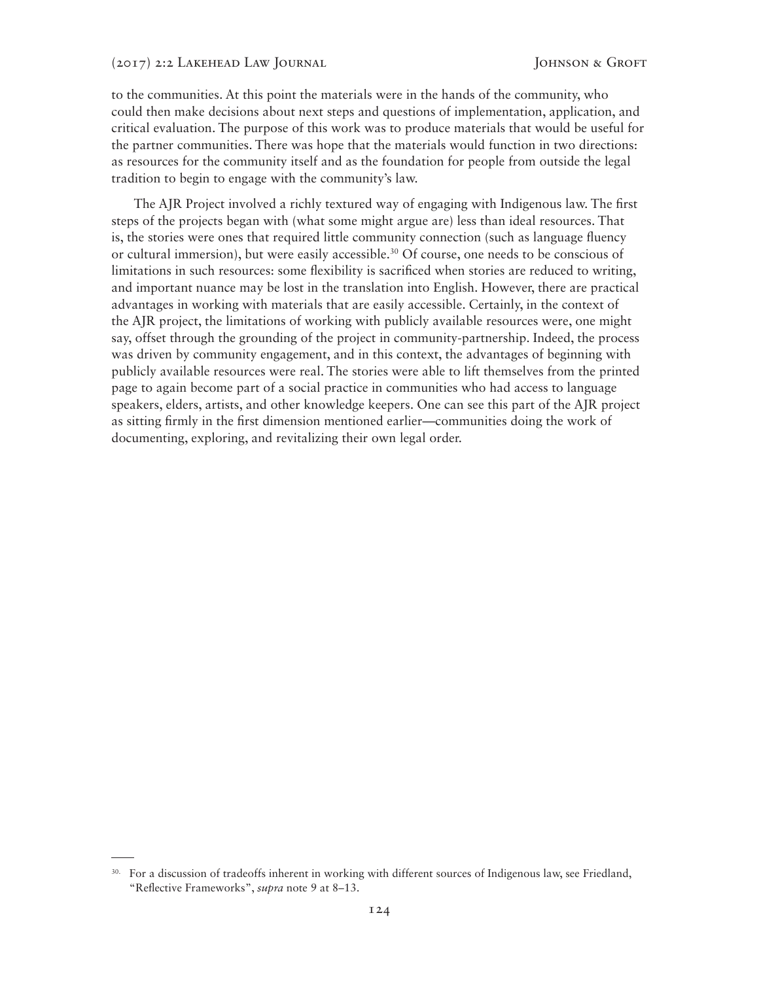to the communities. At this point the materials were in the hands of the community, who could then make decisions about next steps and questions of implementation, application, and critical evaluation. The purpose of this work was to produce materials that would be useful for the partner communities. There was hope that the materials would function in two directions: as resources for the community itself and as the foundation for people from outside the legal tradition to begin to engage with the community's law.

The AJR Project involved a richly textured way of engaging with Indigenous law. The first steps of the projects began with (what some might argue are) less than ideal resources. That is, the stories were ones that required little community connection (such as language fluency or cultural immersion), but were easily accessible.30 Of course, one needs to be conscious of limitations in such resources: some flexibility is sacrificed when stories are reduced to writing, and important nuance may be lost in the translation into English. However, there are practical advantages in working with materials that are easily accessible. Certainly, in the context of the AJR project, the limitations of working with publicly available resources were, one might say, offset through the grounding of the project in community-partnership. Indeed, the process was driven by community engagement, and in this context, the advantages of beginning with publicly available resources were real. The stories were able to lift themselves from the printed page to again become part of a social practice in communities who had access to language speakers, elders, artists, and other knowledge keepers. One can see this part of the AJR project as sitting firmly in the first dimension mentioned earlier—communities doing the work of documenting, exploring, and revitalizing their own legal order.

<sup>&</sup>lt;sup>30.</sup> For a discussion of tradeoffs inherent in working with different sources of Indigenous law, see Friedland, "Reflective Frameworks", *supra* note 9 at 8–13.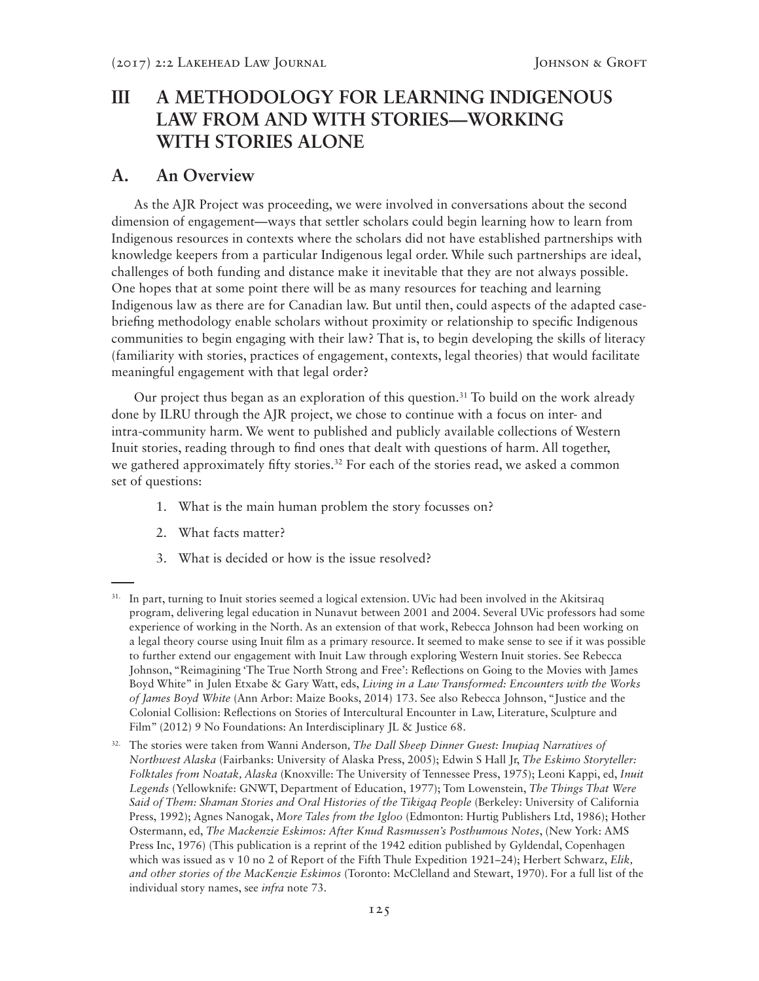# **III A METHODOLOGY FOR LEARNING INDIGENOUS LAW FROM AND WITH STORIES—WORKING WITH STORIES ALONE**

### **A. An Overview**

As the AJR Project was proceeding, we were involved in conversations about the second dimension of engagement—ways that settler scholars could begin learning how to learn from Indigenous resources in contexts where the scholars did not have established partnerships with knowledge keepers from a particular Indigenous legal order. While such partnerships are ideal, challenges of both funding and distance make it inevitable that they are not always possible. One hopes that at some point there will be as many resources for teaching and learning Indigenous law as there are for Canadian law. But until then, could aspects of the adapted casebriefing methodology enable scholars without proximity or relationship to specific Indigenous communities to begin engaging with their law? That is, to begin developing the skills of literacy (familiarity with stories, practices of engagement, contexts, legal theories) that would facilitate meaningful engagement with that legal order?

Our project thus began as an exploration of this question.<sup>31</sup> To build on the work already done by ILRU through the AJR project, we chose to continue with a focus on inter- and intra-community harm. We went to published and publicly available collections of Western Inuit stories, reading through to find ones that dealt with questions of harm. All together, we gathered approximately fifty stories.<sup>32</sup> For each of the stories read, we asked a common set of questions:

- 1. What is the main human problem the story focusses on?
- 2. What facts matter?
- 3. What is decided or how is the issue resolved?

<sup>&</sup>lt;sup>31.</sup> In part, turning to Inuit stories seemed a logical extension. UVic had been involved in the Akitsiraq program, delivering legal education in Nunavut between 2001 and 2004. Several UVic professors had some experience of working in the North. As an extension of that work, Rebecca Johnson had been working on a legal theory course using Inuit film as a primary resource. It seemed to make sense to see if it was possible to further extend our engagement with Inuit Law through exploring Western Inuit stories. See Rebecca Johnson, "Reimagining 'The True North Strong and Free': Reflections on Going to the Movies with James Boyd White" in Julen Etxabe & Gary Watt, eds, *Living in a Law Transformed: Encounters with the Works of James Boyd White* (Ann Arbor: Maize Books, 2014) 173. See also Rebecca Johnson, "Justice and the Colonial Collision: Reflections on Stories of Intercultural Encounter in Law, Literature, Sculpture and Film" (2012) 9 No Foundations: An Interdisciplinary JL & Justice 68.

<sup>32.</sup> The stories were taken from Wanni Anderson*, The Dall Sheep Dinner Guest: Inupiaq Narratives of Northwest Alaska* (Fairbanks: University of Alaska Press, 2005); Edwin S Hall Jr, *The Eskimo Storyteller: Folktales from Noatak, Alaska* (Knoxville: The University of Tennessee Press, 1975); Leoni Kappi, ed, *Inuit Legends* (Yellowknife: GNWT, Department of Education, 1977); Tom Lowenstein, *The Things That Were Said of Them: Shaman Stories and Oral Histories of the Tikigaq People* (Berkeley: University of California Press, 1992); Agnes Nanogak, *More Tales from the Igloo* (Edmonton: Hurtig Publishers Ltd, 1986); Hother Ostermann, ed, *The Mackenzie Eskimos: After Knud Rasmussen's Posthumous Notes*, (New York: AMS Press Inc, 1976) (This publication is a reprint of the 1942 edition published by Gyldendal, Copenhagen which was issued as v 10 no 2 of Report of the Fifth Thule Expedition 1921–24); Herbert Schwarz, *Elik, and other stories of the MacKenzie Eskimos* (Toronto: McClelland and Stewart, 1970). For a full list of the individual story names, see *infra* note 73.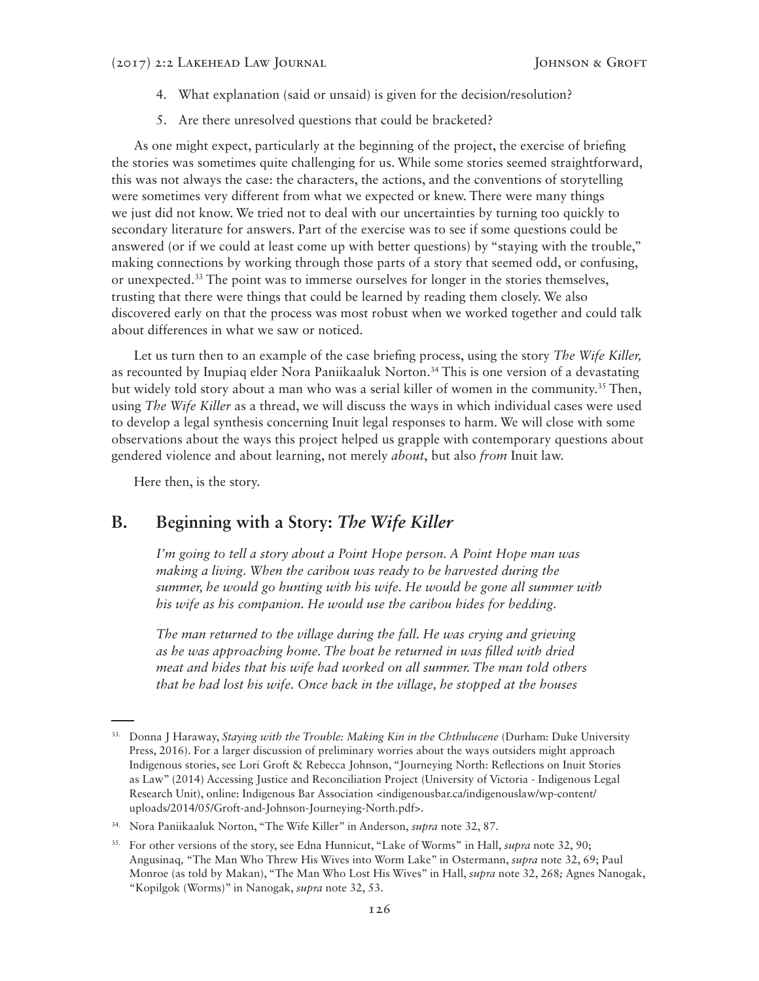- 4. What explanation (said or unsaid) is given for the decision/resolution?
- 5. Are there unresolved questions that could be bracketed?

As one might expect, particularly at the beginning of the project, the exercise of briefing the stories was sometimes quite challenging for us. While some stories seemed straightforward, this was not always the case: the characters, the actions, and the conventions of storytelling were sometimes very different from what we expected or knew. There were many things we just did not know. We tried not to deal with our uncertainties by turning too quickly to secondary literature for answers. Part of the exercise was to see if some questions could be answered (or if we could at least come up with better questions) by "staying with the trouble," making connections by working through those parts of a story that seemed odd, or confusing, or unexpected.33 The point was to immerse ourselves for longer in the stories themselves, trusting that there were things that could be learned by reading them closely. We also discovered early on that the process was most robust when we worked together and could talk about differences in what we saw or noticed.

Let us turn then to an example of the case briefing process, using the story *The Wife Killer,*  as recounted by Inupiaq elder Nora Paniikaaluk Norton.34 This is one version of a devastating but widely told story about a man who was a serial killer of women in the community.35 Then, using *The Wife Killer* as a thread, we will discuss the ways in which individual cases were used to develop a legal synthesis concerning Inuit legal responses to harm. We will close with some observations about the ways this project helped us grapple with contemporary questions about gendered violence and about learning, not merely *about*, but also *from* Inuit law.

Here then, is the story.

## **B. Beginning with a Story:** *The Wife Killer*

*I'm going to tell a story about a Point Hope person. A Point Hope man was making a living. When the caribou was ready to be harvested during the summer, he would go hunting with his wife. He would be gone all summer with his wife as his companion. He would use the caribou hides for bedding.*

*The man returned to the village during the fall. He was crying and grieving as he was approaching home. The boat he returned in was filled with dried meat and hides that his wife had worked on all summer. The man told others that he had lost his wife. Once back in the village, he stopped at the houses* 

<sup>&</sup>lt;sup>33.</sup> Donna J Haraway, *Staying with the Trouble: Making Kin in the Chthulucene* (Durham: Duke University Press, 2016). For a larger discussion of preliminary worries about the ways outsiders might approach Indigenous stories, see Lori Groft & Rebecca Johnson, "Journeying North: Reflections on Inuit Stories as Law" (2014) Accessing Justice and Reconciliation Project (University of Victoria - Indigenous Legal Research Unit), online: Indigenous Bar Association <indigenousbar.ca/indigenouslaw/wp-content/ uploads/2014/05/Groft-and-Johnson-Journeying-North.pdf>.

<sup>34.</sup> Nora Paniikaaluk Norton, "The Wife Killer" in Anderson, *supra* note 32, 87.

<sup>35.</sup> For other versions of the story, see Edna Hunnicut, "Lake of Worms" in Hall, *supra* note 32, 90; Angusinaq*,* "The Man Who Threw His Wives into Worm Lake" in Ostermann, *supra* note 32, 69; Paul Monroe (as told by Makan), "The Man Who Lost His Wives" in Hall, *supra* note 32, 268*;* Agnes Nanogak, "Kopilgok (Worms)" in Nanogak, *supra* note 32, 53.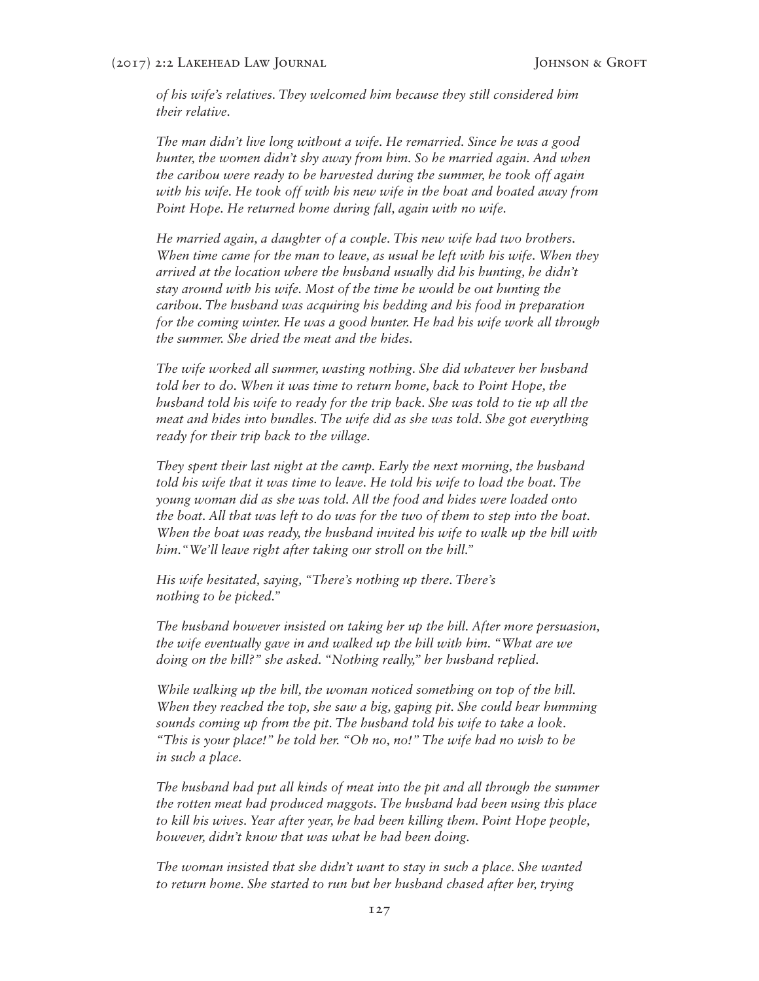*of his wife's relatives. They welcomed him because they still considered him their relative.*

*The man didn't live long without a wife. He remarried. Since he was a good hunter, the women didn't shy away from him. So he married again. And when the caribou were ready to be harvested during the summer, he took off again with his wife. He took off with his new wife in the boat and boated away from Point Hope. He returned home during fall, again with no wife.*

*He married again, a daughter of a couple. This new wife had two brothers. When time came for the man to leave, as usual he left with his wife. When they arrived at the location where the husband usually did his hunting, he didn't stay around with his wife. Most of the time he would be out hunting the caribou. The husband was acquiring his bedding and his food in preparation for the coming winter. He was a good hunter. He had his wife work all through the summer. She dried the meat and the hides.*

*The wife worked all summer, wasting nothing. She did whatever her husband told her to do. When it was time to return home, back to Point Hope, the husband told his wife to ready for the trip back. She was told to tie up all the meat and hides into bundles. The wife did as she was told. She got everything ready for their trip back to the village.*

*They spent their last night at the camp. Early the next morning, the husband*  told his wife that it was time to leave. He told his wife to load the boat. The *young woman did as she was told. All the food and hides were loaded onto the boat. All that was left to do was for the two of them to step into the boat. When the boat was ready, the husband invited his wife to walk up the hill with him."We'll leave right after taking our stroll on the hill."*

*His wife hesitated, saying, "There's nothing up there. There's nothing to be picked."*

*The husband however insisted on taking her up the hill. After more persuasion, the wife eventually gave in and walked up the hill with him. "What are we doing on the hill?" she asked. "Nothing really," her husband replied.*

*While walking up the hill, the woman noticed something on top of the hill. When they reached the top, she saw a big, gaping pit. She could hear humming sounds coming up from the pit. The husband told his wife to take a look. "This is your place!" he told her. "Oh no, no!" The wife had no wish to be in such a place.*

*The husband had put all kinds of meat into the pit and all through the summer the rotten meat had produced maggots. The husband had been using this place to kill his wives. Year after year, he had been killing them. Point Hope people, however, didn't know that was what he had been doing.*

*The woman insisted that she didn't want to stay in such a place. She wanted to return home. She started to run but her husband chased after her, trying*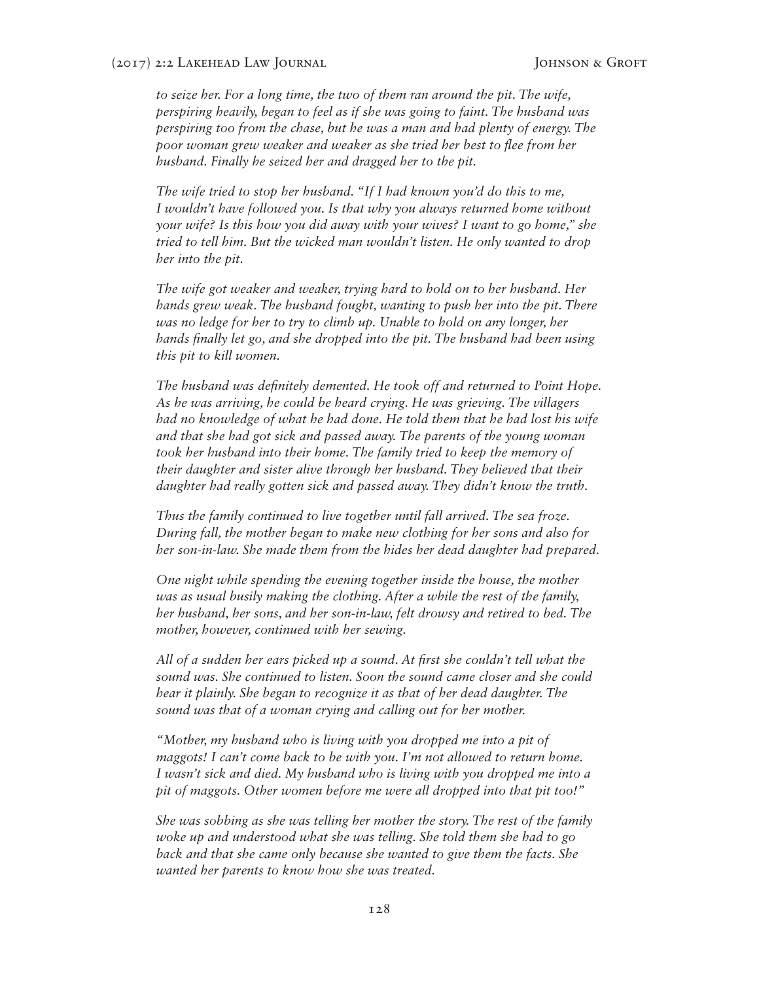*to seize her. For a long time, the two of them ran around the pit. The wife, perspiring heavily, began to feel as if she was going to faint. The husband was perspiring too from the chase, but he was a man and had plenty of energy. The poor woman grew weaker and weaker as she tried her best to flee from her husband. Finally he seized her and dragged her to the pit.*

*The wife tried to stop her husband. "If I had known you'd do this to me, I wouldn't have followed you. Is that why you always returned home without your wife? Is this how you did away with your wives? I want to go home," she tried to tell him. But the wicked man wouldn't listen. He only wanted to drop her into the pit.*

*The wife got weaker and weaker, trying hard to hold on to her husband. Her hands grew weak. The husband fought, wanting to push her into the pit. There was no ledge for her to try to climb up. Unable to hold on any longer, her hands finally let go, and she dropped into the pit. The husband had been using this pit to kill women.*

*The husband was definitely demented. He took off and returned to Point Hope. As he was arriving, he could be heard crying. He was grieving. The villagers had no knowledge of what he had done. He told them that he had lost his wife and that she had got sick and passed away. The parents of the young woman took her husband into their home. The family tried to keep the memory of their daughter and sister alive through her husband. They believed that their daughter had really gotten sick and passed away. They didn't know the truth.*

*Thus the family continued to live together until fall arrived. The sea froze. During fall, the mother began to make new clothing for her sons and also for her son-in-law. She made them from the hides her dead daughter had prepared.*

*One night while spending the evening together inside the house, the mother was as usual busily making the clothing. After a while the rest of the family, her husband, her sons, and her son-in-law, felt drowsy and retired to bed. The mother, however, continued with her sewing.*

*All of a sudden her ears picked up a sound. At first she couldn't tell what the sound was. She continued to listen. Soon the sound came closer and she could hear it plainly. She began to recognize it as that of her dead daughter. The sound was that of a woman crying and calling out for her mother.*

*"Mother, my husband who is living with you dropped me into a pit of maggots! I can't come back to be with you. I'm not allowed to return home. I wasn't sick and died. My husband who is living with you dropped me into a pit of maggots. Other women before me were all dropped into that pit too!"*

*She was sobbing as she was telling her mother the story. The rest of the family woke up and understood what she was telling. She told them she had to go back and that she came only because she wanted to give them the facts. She wanted her parents to know how she was treated.*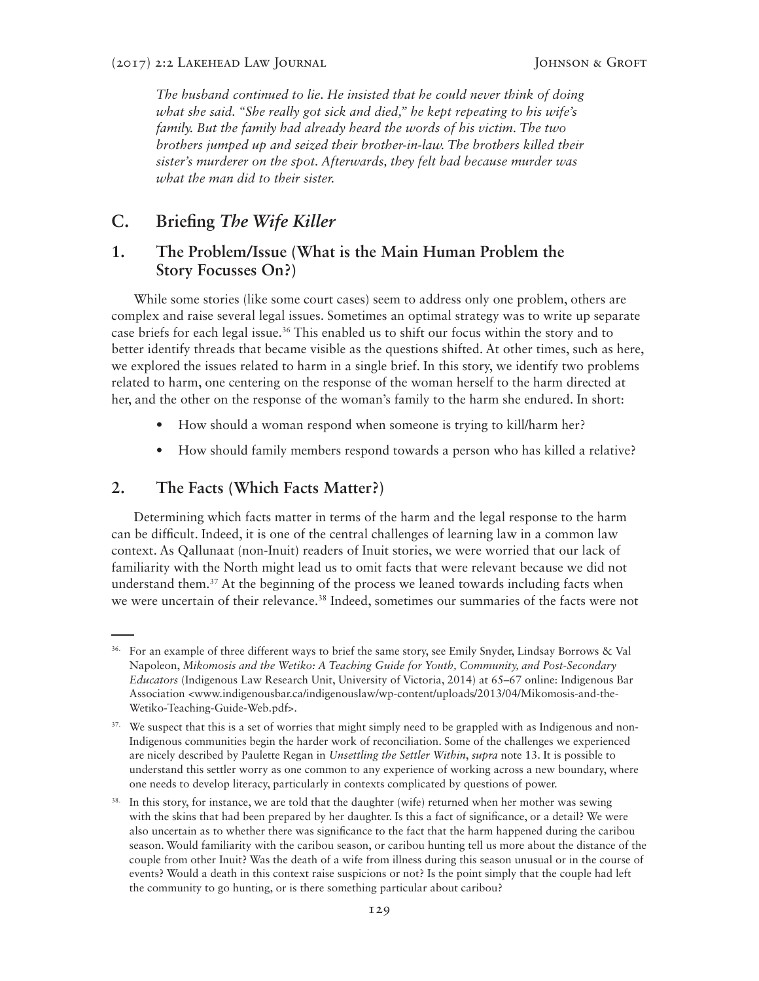*The husband continued to lie. He insisted that he could never think of doing what she said. "She really got sick and died," he kept repeating to his wife's family. But the family had already heard the words of his victim. The two brothers jumped up and seized their brother-in-law. The brothers killed their sister's murderer on the spot. Afterwards, they felt bad because murder was what the man did to their sister.*

### **C. Briefing** *The Wife Killer*

### **1. The Problem/Issue (What is the Main Human Problem the Story Focusses On?)**

While some stories (like some court cases) seem to address only one problem, others are complex and raise several legal issues. Sometimes an optimal strategy was to write up separate case briefs for each legal issue.<sup>36</sup> This enabled us to shift our focus within the story and to better identify threads that became visible as the questions shifted. At other times, such as here, we explored the issues related to harm in a single brief. In this story, we identify two problems related to harm, one centering on the response of the woman herself to the harm directed at her, and the other on the response of the woman's family to the harm she endured. In short:

- How should a woman respond when someone is trying to kill/harm her?
- How should family members respond towards a person who has killed a relative?

### **2. The Facts (Which Facts Matter?)**

Determining which facts matter in terms of the harm and the legal response to the harm can be difficult. Indeed, it is one of the central challenges of learning law in a common law context. As Qallunaat (non-Inuit) readers of Inuit stories, we were worried that our lack of familiarity with the North might lead us to omit facts that were relevant because we did not understand them.37 At the beginning of the process we leaned towards including facts when we were uncertain of their relevance.38 Indeed, sometimes our summaries of the facts were not

<sup>&</sup>lt;sup>36.</sup> For an example of three different ways to brief the same story, see Emily Snyder, Lindsay Borrows & Val Napoleon, *Mikomosis and the Wetiko: A Teaching Guide for Youth, Community, and Post-Secondary Educators* (Indigenous Law Research Unit, University of Victoria, 2014) at 65–67 online: Indigenous Bar Association <www.indigenousbar.ca/indigenouslaw/wp-content/uploads/2013/04/Mikomosis-and-the-Wetiko-Teaching-Guide-Web.pdf>.

<sup>&</sup>lt;sup>37.</sup> We suspect that this is a set of worries that might simply need to be grappled with as Indigenous and non-Indigenous communities begin the harder work of reconciliation. Some of the challenges we experienced are nicely described by Paulette Regan in *Unsettling the Settler Within*, *supra* note 13. It is possible to understand this settler worry as one common to any experience of working across a new boundary, where one needs to develop literacy, particularly in contexts complicated by questions of power.

In this story, for instance, we are told that the daughter (wife) returned when her mother was sewing with the skins that had been prepared by her daughter. Is this a fact of significance, or a detail? We were also uncertain as to whether there was significance to the fact that the harm happened during the caribou season. Would familiarity with the caribou season, or caribou hunting tell us more about the distance of the couple from other Inuit? Was the death of a wife from illness during this season unusual or in the course of events? Would a death in this context raise suspicions or not? Is the point simply that the couple had left the community to go hunting, or is there something particular about caribou?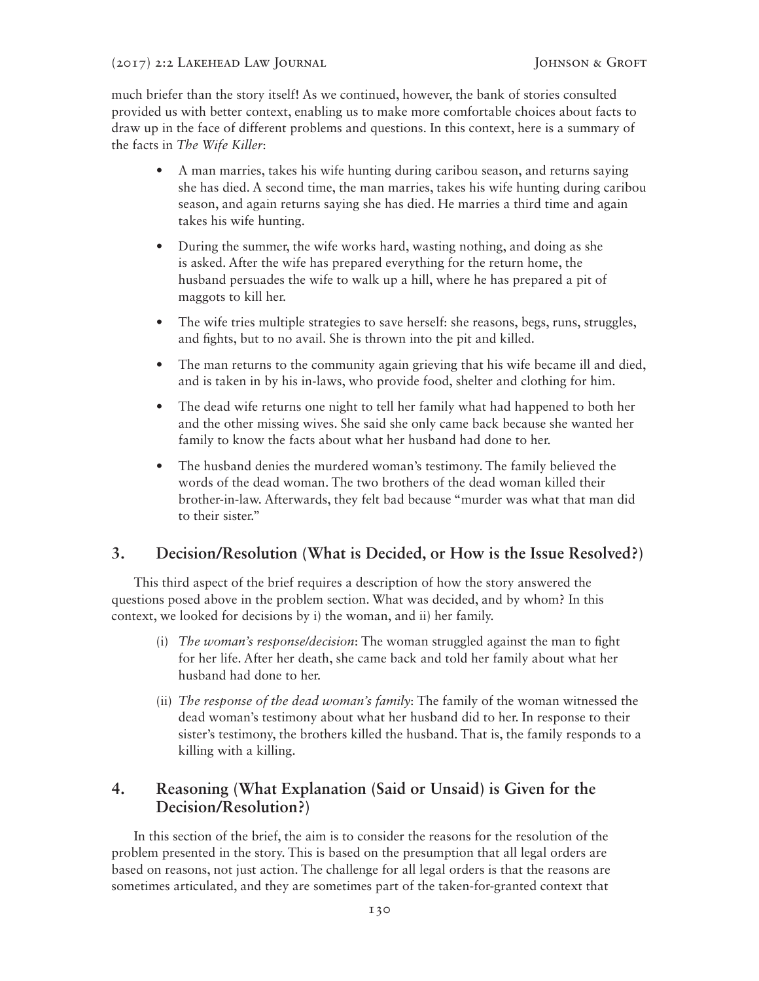much briefer than the story itself! As we continued, however, the bank of stories consulted provided us with better context, enabling us to make more comfortable choices about facts to draw up in the face of different problems and questions. In this context, here is a summary of the facts in *The Wife Killer*:

- A man marries, takes his wife hunting during caribou season, and returns saying she has died. A second time, the man marries, takes his wife hunting during caribou season, and again returns saying she has died. He marries a third time and again takes his wife hunting.
- During the summer, the wife works hard, wasting nothing, and doing as she is asked. After the wife has prepared everything for the return home, the husband persuades the wife to walk up a hill, where he has prepared a pit of maggots to kill her.
- The wife tries multiple strategies to save herself: she reasons, begs, runs, struggles, and fights, but to no avail. She is thrown into the pit and killed.
- The man returns to the community again grieving that his wife became ill and died, and is taken in by his in-laws, who provide food, shelter and clothing for him.
- The dead wife returns one night to tell her family what had happened to both her and the other missing wives. She said she only came back because she wanted her family to know the facts about what her husband had done to her.
- The husband denies the murdered woman's testimony. The family believed the words of the dead woman. The two brothers of the dead woman killed their brother-in-law. Afterwards, they felt bad because "murder was what that man did to their sister."

## **3. Decision/Resolution (What is Decided, or How is the Issue Resolved?)**

This third aspect of the brief requires a description of how the story answered the questions posed above in the problem section. What was decided, and by whom? In this context, we looked for decisions by i) the woman, and ii) her family.

- (i) *The woman's response/decision*: The woman struggled against the man to fight for her life. After her death, she came back and told her family about what her husband had done to her.
- (ii) *The response of the dead woman's family*: The family of the woman witnessed the dead woman's testimony about what her husband did to her. In response to their sister's testimony, the brothers killed the husband. That is, the family responds to a killing with a killing.

## **4. Reasoning (What Explanation (Said or Unsaid) is Given for the Decision/Resolution?)**

In this section of the brief, the aim is to consider the reasons for the resolution of the problem presented in the story. This is based on the presumption that all legal orders are based on reasons, not just action. The challenge for all legal orders is that the reasons are sometimes articulated, and they are sometimes part of the taken-for-granted context that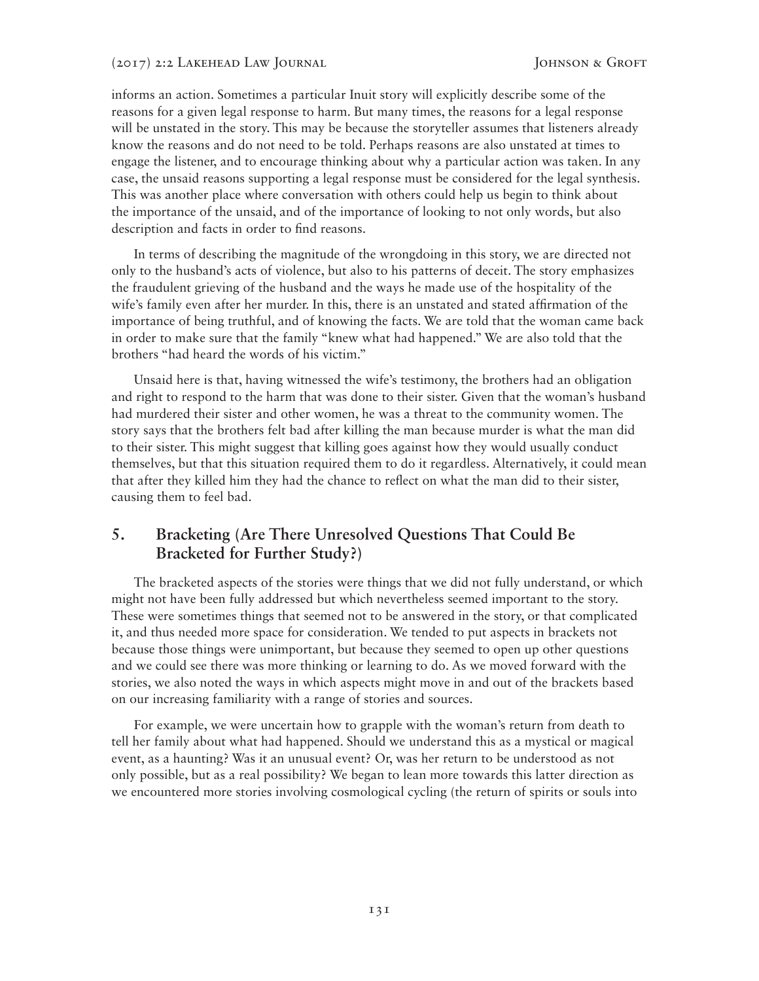informs an action. Sometimes a particular Inuit story will explicitly describe some of the reasons for a given legal response to harm. But many times, the reasons for a legal response will be unstated in the story. This may be because the storyteller assumes that listeners already know the reasons and do not need to be told. Perhaps reasons are also unstated at times to engage the listener, and to encourage thinking about why a particular action was taken. In any case, the unsaid reasons supporting a legal response must be considered for the legal synthesis. This was another place where conversation with others could help us begin to think about the importance of the unsaid, and of the importance of looking to not only words, but also description and facts in order to find reasons.

In terms of describing the magnitude of the wrongdoing in this story, we are directed not only to the husband's acts of violence, but also to his patterns of deceit. The story emphasizes the fraudulent grieving of the husband and the ways he made use of the hospitality of the wife's family even after her murder. In this, there is an unstated and stated affirmation of the importance of being truthful, and of knowing the facts. We are told that the woman came back in order to make sure that the family "knew what had happened." We are also told that the brothers "had heard the words of his victim."

Unsaid here is that, having witnessed the wife's testimony, the brothers had an obligation and right to respond to the harm that was done to their sister. Given that the woman's husband had murdered their sister and other women, he was a threat to the community women. The story says that the brothers felt bad after killing the man because murder is what the man did to their sister. This might suggest that killing goes against how they would usually conduct themselves, but that this situation required them to do it regardless. Alternatively, it could mean that after they killed him they had the chance to reflect on what the man did to their sister, causing them to feel bad.

### **5. Bracketing (Are There Unresolved Questions That Could Be Bracketed for Further Study?)**

The bracketed aspects of the stories were things that we did not fully understand, or which might not have been fully addressed but which nevertheless seemed important to the story. These were sometimes things that seemed not to be answered in the story, or that complicated it, and thus needed more space for consideration. We tended to put aspects in brackets not because those things were unimportant, but because they seemed to open up other questions and we could see there was more thinking or learning to do. As we moved forward with the stories, we also noted the ways in which aspects might move in and out of the brackets based on our increasing familiarity with a range of stories and sources.

For example, we were uncertain how to grapple with the woman's return from death to tell her family about what had happened. Should we understand this as a mystical or magical event, as a haunting? Was it an unusual event? Or, was her return to be understood as not only possible, but as a real possibility? We began to lean more towards this latter direction as we encountered more stories involving cosmological cycling (the return of spirits or souls into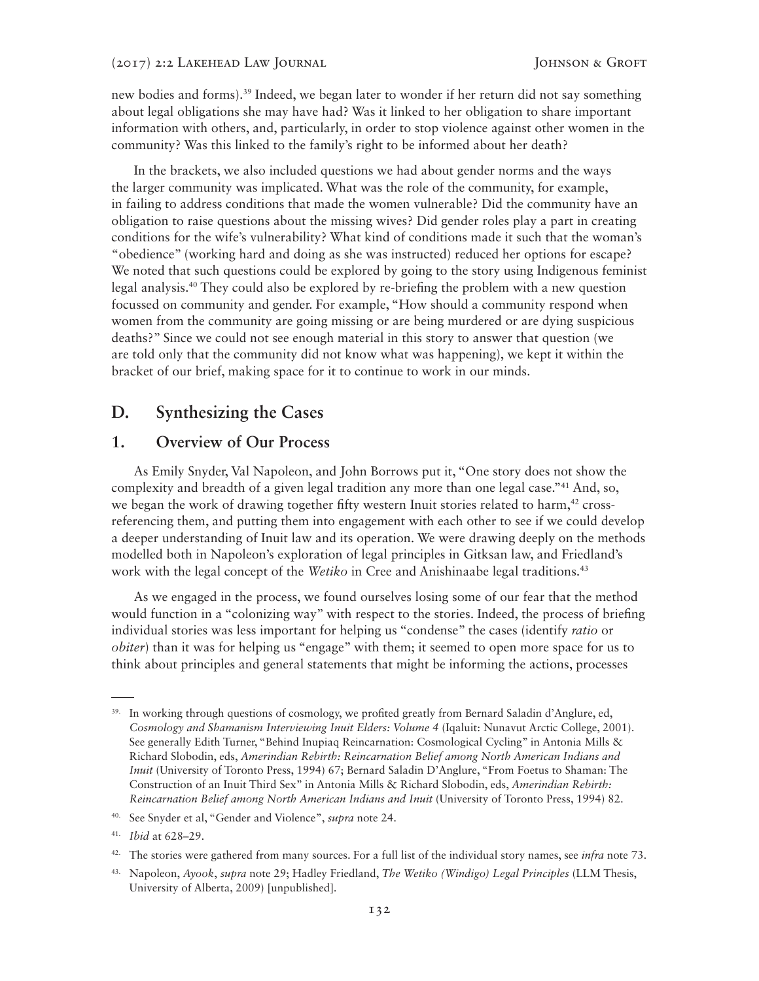new bodies and forms).39 Indeed, we began later to wonder if her return did not say something about legal obligations she may have had? Was it linked to her obligation to share important information with others, and, particularly, in order to stop violence against other women in the community? Was this linked to the family's right to be informed about her death?

In the brackets, we also included questions we had about gender norms and the ways the larger community was implicated. What was the role of the community, for example, in failing to address conditions that made the women vulnerable? Did the community have an obligation to raise questions about the missing wives? Did gender roles play a part in creating conditions for the wife's vulnerability? What kind of conditions made it such that the woman's "obedience" (working hard and doing as she was instructed) reduced her options for escape? We noted that such questions could be explored by going to the story using Indigenous feminist legal analysis.40 They could also be explored by re-briefing the problem with a new question focussed on community and gender. For example, "How should a community respond when women from the community are going missing or are being murdered or are dying suspicious deaths?" Since we could not see enough material in this story to answer that question (we are told only that the community did not know what was happening), we kept it within the bracket of our brief, making space for it to continue to work in our minds.

## **D. Synthesizing the Cases**

### **1. Overview of Our Process**

As Emily Snyder, Val Napoleon, and John Borrows put it, "One story does not show the complexity and breadth of a given legal tradition any more than one legal case."<sup>41</sup> And, so, we began the work of drawing together fifty western Inuit stories related to harm,<sup>42</sup> crossreferencing them, and putting them into engagement with each other to see if we could develop a deeper understanding of Inuit law and its operation. We were drawing deeply on the methods modelled both in Napoleon's exploration of legal principles in Gitksan law, and Friedland's work with the legal concept of the *Wetiko* in Cree and Anishinaabe legal traditions.<sup>43</sup>

As we engaged in the process, we found ourselves losing some of our fear that the method would function in a "colonizing way" with respect to the stories. Indeed, the process of briefing individual stories was less important for helping us "condense" the cases (identify *ratio* or *obiter*) than it was for helping us "engage" with them; it seemed to open more space for us to think about principles and general statements that might be informing the actions, processes

<sup>&</sup>lt;sup>39.</sup> In working through questions of cosmology, we profited greatly from Bernard Saladin d'Anglure, ed, *Cosmology and Shamanism Interviewing Inuit Elders: Volume 4* (Iqaluit: Nunavut Arctic College, 2001). See generally Edith Turner, "Behind Inupiaq Reincarnation: Cosmological Cycling" in Antonia Mills & Richard Slobodin, eds, *Amerindian Rebirth: Reincarnation Belief among North American Indians and Inuit* (University of Toronto Press, 1994) 67; Bernard Saladin D'Anglure, "From Foetus to Shaman: The Construction of an Inuit Third Sex" in Antonia Mills & Richard Slobodin, eds, *Amerindian Rebirth: Reincarnation Belief among North American Indians and Inuit* (University of Toronto Press, 1994) 82.

<sup>40.</sup> See Snyder et al, "Gender and Violence", *supra* note 24.

<sup>41.</sup> *Ibid* at 628–29.

<sup>42.</sup> The stories were gathered from many sources. For a full list of the individual story names, see *infra* note 73.

<sup>43.</sup> Napoleon, *Ayook*, *supra* note 29; Hadley Friedland, *The Wetiko (Windigo) Legal Principles* (LLM Thesis, University of Alberta, 2009) [unpublished].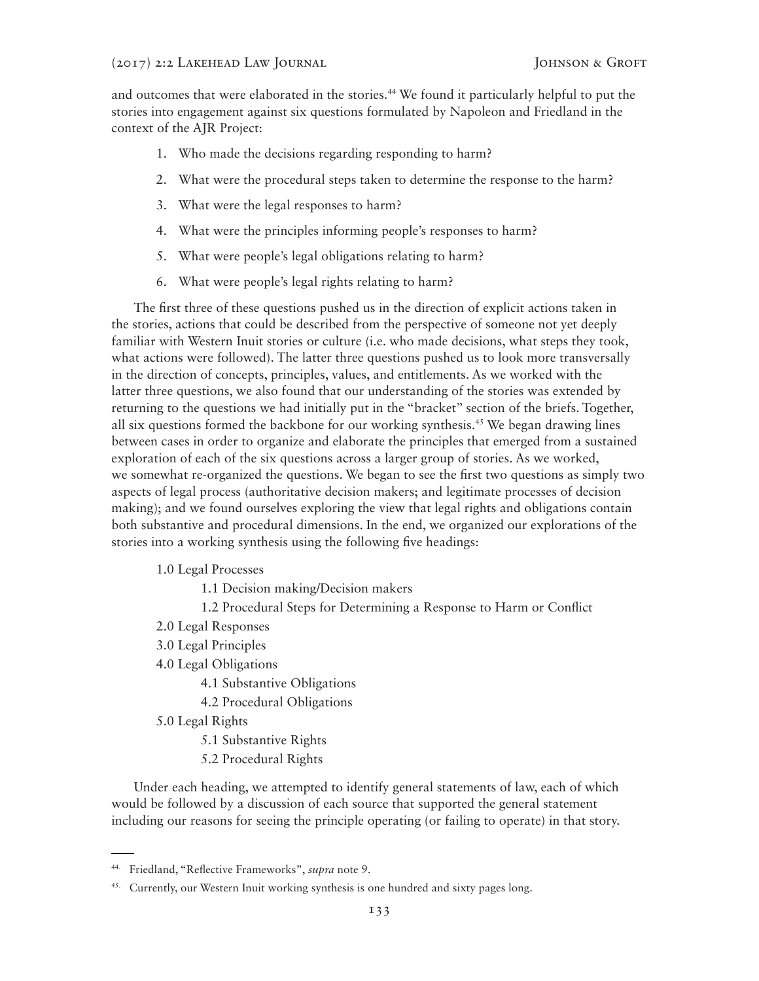and outcomes that were elaborated in the stories.<sup>44</sup> We found it particularly helpful to put the stories into engagement against six questions formulated by Napoleon and Friedland in the context of the AJR Project:

- 1. Who made the decisions regarding responding to harm?
- 2. What were the procedural steps taken to determine the response to the harm?
- 3. What were the legal responses to harm?
- 4. What were the principles informing people's responses to harm?
- 5. What were people's legal obligations relating to harm?
- 6. What were people's legal rights relating to harm?

The first three of these questions pushed us in the direction of explicit actions taken in the stories, actions that could be described from the perspective of someone not yet deeply familiar with Western Inuit stories or culture (i.e. who made decisions, what steps they took, what actions were followed). The latter three questions pushed us to look more transversally in the direction of concepts, principles, values, and entitlements. As we worked with the latter three questions, we also found that our understanding of the stories was extended by returning to the questions we had initially put in the "bracket" section of the briefs. Together, all six questions formed the backbone for our working synthesis.<sup>45</sup> We began drawing lines between cases in order to organize and elaborate the principles that emerged from a sustained exploration of each of the six questions across a larger group of stories. As we worked, we somewhat re-organized the questions. We began to see the first two questions as simply two aspects of legal process (authoritative decision makers; and legitimate processes of decision making); and we found ourselves exploring the view that legal rights and obligations contain both substantive and procedural dimensions. In the end, we organized our explorations of the stories into a working synthesis using the following five headings:

- 1.0 Legal Processes
	- 1.1 Decision making/Decision makers
	- 1.2 Procedural Steps for Determining a Response to Harm or Conflict
- 2.0 Legal Responses
- 3.0 Legal Principles
- 4.0 Legal Obligations
	- 4.1 Substantive Obligations
	- 4.2 Procedural Obligations
- 5.0 Legal Rights
	- 5.1 Substantive Rights
	- 5.2 Procedural Rights

Under each heading, we attempted to identify general statements of law, each of which would be followed by a discussion of each source that supported the general statement including our reasons for seeing the principle operating (or failing to operate) in that story.

<sup>44.</sup> Friedland, "Reflective Frameworks", *supra* note 9.

<sup>&</sup>lt;sup>45.</sup> Currently, our Western Inuit working synthesis is one hundred and sixty pages long.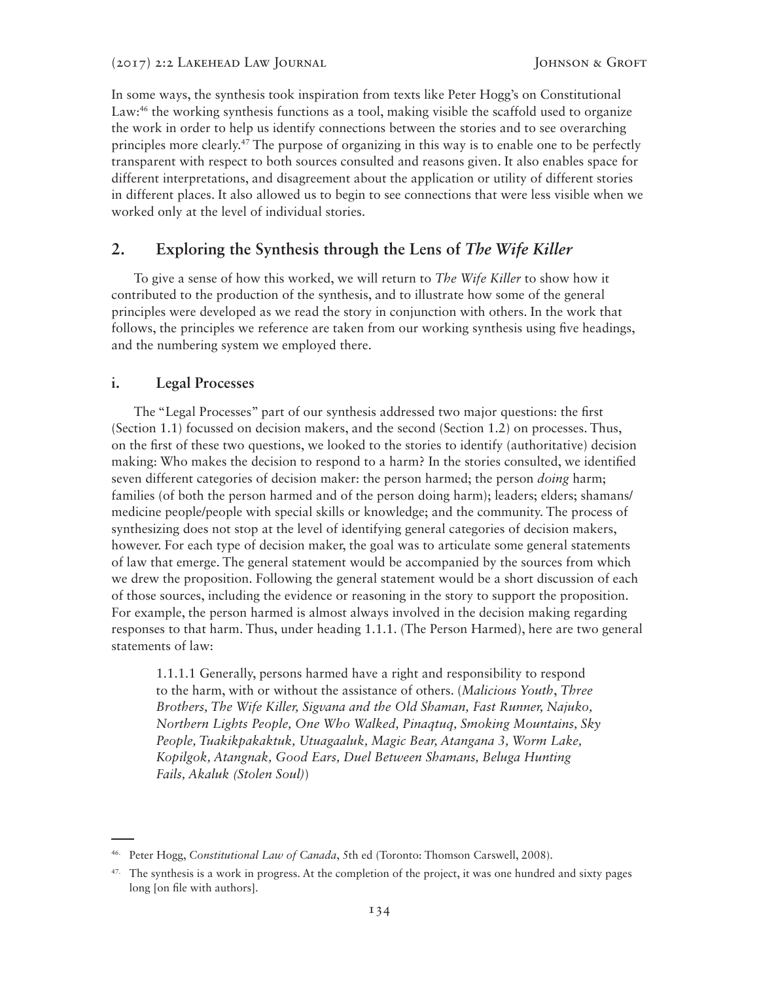In some ways, the synthesis took inspiration from texts like Peter Hogg's on Constitutional Law:<sup>46</sup> the working synthesis functions as a tool, making visible the scaffold used to organize the work in order to help us identify connections between the stories and to see overarching principles more clearly.47 The purpose of organizing in this way is to enable one to be perfectly transparent with respect to both sources consulted and reasons given. It also enables space for different interpretations, and disagreement about the application or utility of different stories in different places. It also allowed us to begin to see connections that were less visible when we worked only at the level of individual stories.

### **2. Exploring the Synthesis through the Lens of** *The Wife Killer*

To give a sense of how this worked, we will return to *The Wife Killer* to show how it contributed to the production of the synthesis, and to illustrate how some of the general principles were developed as we read the story in conjunction with others. In the work that follows, the principles we reference are taken from our working synthesis using five headings, and the numbering system we employed there.

#### **i. Legal Processes**

The "Legal Processes" part of our synthesis addressed two major questions: the first (Section 1.1) focussed on decision makers, and the second (Section 1.2) on processes. Thus, on the first of these two questions, we looked to the stories to identify (authoritative) decision making: Who makes the decision to respond to a harm? In the stories consulted, we identified seven different categories of decision maker: the person harmed; the person *doing* harm; families (of both the person harmed and of the person doing harm); leaders; elders; shamans/ medicine people/people with special skills or knowledge; and the community. The process of synthesizing does not stop at the level of identifying general categories of decision makers, however. For each type of decision maker, the goal was to articulate some general statements of law that emerge. The general statement would be accompanied by the sources from which we drew the proposition. Following the general statement would be a short discussion of each of those sources, including the evidence or reasoning in the story to support the proposition. For example, the person harmed is almost always involved in the decision making regarding responses to that harm. Thus, under heading 1.1.1. (The Person Harmed), here are two general statements of law:

1.1.1.1 Generally, persons harmed have a right and responsibility to respond to the harm, with or without the assistance of others. (*Malicious Youth*, *Three Brothers, The Wife Killer, Sigvana and the Old Shaman, Fast Runner, Najuko, Northern Lights People, One Who Walked, Pinaqtuq, Smoking Mountains, Sky People, Tuakikpakaktuk, Utuagaaluk, Magic Bear, Atangana 3, Worm Lake, Kopilgok, Atangnak, Good Ears, Duel Between Shamans, Beluga Hunting Fails, Akaluk (Stolen Soul)*)

<sup>46.</sup> Peter Hogg, *Constitutional Law of Canada*, 5th ed (Toronto: Thomson Carswell, 2008).

<sup>&</sup>lt;sup>47.</sup> The synthesis is a work in progress. At the completion of the project, it was one hundred and sixty pages long [on file with authors].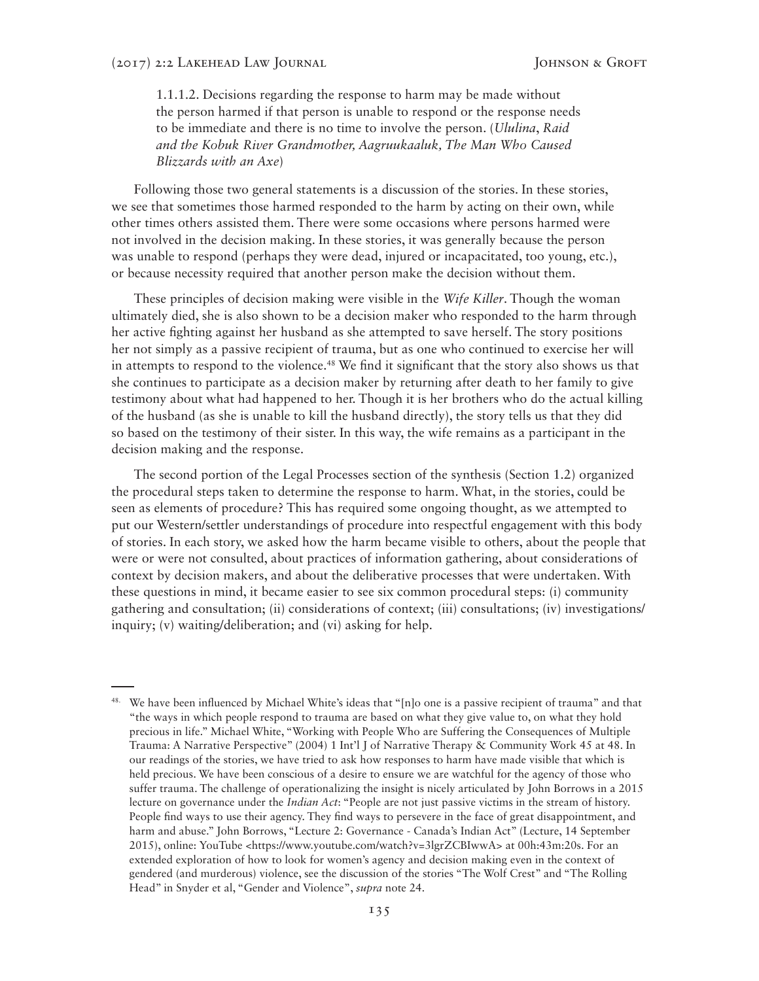1.1.1.2. Decisions regarding the response to harm may be made without the person harmed if that person is unable to respond or the response needs to be immediate and there is no time to involve the person. (*Ululina*, *Raid and the Kobuk River Grandmother, Aagruukaaluk, The Man Who Caused Blizzards with an Axe*)

Following those two general statements is a discussion of the stories. In these stories, we see that sometimes those harmed responded to the harm by acting on their own, while other times others assisted them. There were some occasions where persons harmed were not involved in the decision making. In these stories, it was generally because the person was unable to respond (perhaps they were dead, injured or incapacitated, too young, etc.), or because necessity required that another person make the decision without them.

These principles of decision making were visible in the *Wife Killer*. Though the woman ultimately died, she is also shown to be a decision maker who responded to the harm through her active fighting against her husband as she attempted to save herself. The story positions her not simply as a passive recipient of trauma, but as one who continued to exercise her will in attempts to respond to the violence.<sup>48</sup> We find it significant that the story also shows us that she continues to participate as a decision maker by returning after death to her family to give testimony about what had happened to her. Though it is her brothers who do the actual killing of the husband (as she is unable to kill the husband directly), the story tells us that they did so based on the testimony of their sister. In this way, the wife remains as a participant in the decision making and the response.

The second portion of the Legal Processes section of the synthesis (Section 1.2) organized the procedural steps taken to determine the response to harm. What, in the stories, could be seen as elements of procedure? This has required some ongoing thought, as we attempted to put our Western/settler understandings of procedure into respectful engagement with this body of stories. In each story, we asked how the harm became visible to others, about the people that were or were not consulted, about practices of information gathering, about considerations of context by decision makers, and about the deliberative processes that were undertaken. With these questions in mind, it became easier to see six common procedural steps: (i) community gathering and consultation; (ii) considerations of context; (iii) consultations; (iv) investigations/ inquiry; (v) waiting/deliberation; and (vi) asking for help.

<sup>&</sup>lt;sup>48.</sup> We have been influenced by Michael White's ideas that "[n]o one is a passive recipient of trauma" and that "the ways in which people respond to trauma are based on what they give value to, on what they hold precious in life." Michael White, "Working with People Who are Suffering the Consequences of Multiple Trauma: A Narrative Perspective" (2004) 1 Int'l J of Narrative Therapy & Community Work 45 at 48. In our readings of the stories, we have tried to ask how responses to harm have made visible that which is held precious. We have been conscious of a desire to ensure we are watchful for the agency of those who suffer trauma. The challenge of operationalizing the insight is nicely articulated by John Borrows in a 2015 lecture on governance under the *Indian Act*: "People are not just passive victims in the stream of history. People find ways to use their agency. They find ways to persevere in the face of great disappointment, and harm and abuse." John Borrows, "Lecture 2: Governance - Canada's Indian Act" (Lecture, 14 September 2015), online: YouTube <https://www.youtube.com/watch?v=3lgrZCBIwwA> at 00h:43m:20s. For an extended exploration of how to look for women's agency and decision making even in the context of gendered (and murderous) violence, see the discussion of the stories "The Wolf Crest" and "The Rolling Head" in Snyder et al, "Gender and Violence", *supra* note 24.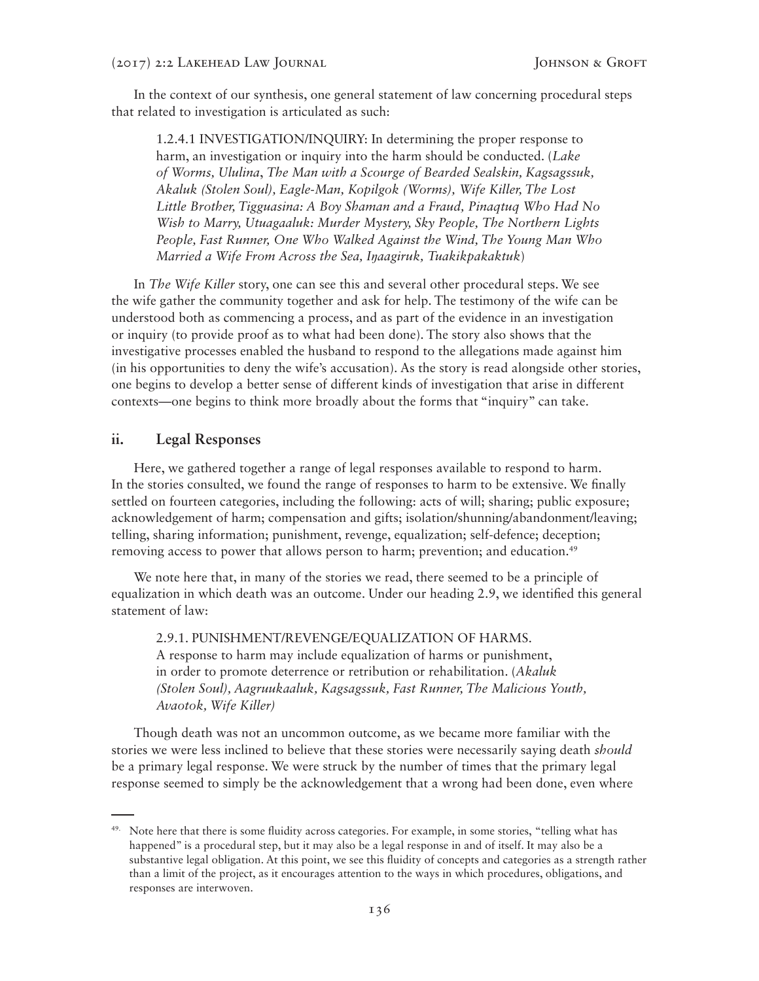In the context of our synthesis, one general statement of law concerning procedural steps that related to investigation is articulated as such:

1.2.4.1 INVESTIGATION/INQUIRY: In determining the proper response to harm, an investigation or inquiry into the harm should be conducted. (*Lake of Worms, Ululina*, *The Man with a Scourge of Bearded Sealskin, Kagsagssuk, Akaluk (Stolen Soul), Eagle-Man, Kopilgok (Worms), Wife Killer, The Lost Little Brother, Tigguasina: A Boy Shaman and a Fraud, Pinaqtuq Who Had No Wish to Marry, Utuagaaluk: Murder Mystery, Sky People, The Northern Lights People, Fast Runner, One Who Walked Against the Wind, The Young Man Who Married a Wife From Across the Sea, Iŋaagiruk, Tuakikpakaktuk*)

In *The Wife Killer* story, one can see this and several other procedural steps. We see the wife gather the community together and ask for help. The testimony of the wife can be understood both as commencing a process, and as part of the evidence in an investigation or inquiry (to provide proof as to what had been done). The story also shows that the investigative processes enabled the husband to respond to the allegations made against him (in his opportunities to deny the wife's accusation). As the story is read alongside other stories, one begins to develop a better sense of different kinds of investigation that arise in different contexts—one begins to think more broadly about the forms that "inquiry" can take.

#### **ii. Legal Responses**

Here, we gathered together a range of legal responses available to respond to harm. In the stories consulted, we found the range of responses to harm to be extensive. We finally settled on fourteen categories, including the following: acts of will; sharing; public exposure; acknowledgement of harm; compensation and gifts; isolation/shunning/abandonment/leaving; telling, sharing information; punishment, revenge, equalization; self-defence; deception; removing access to power that allows person to harm; prevention; and education.<sup>49</sup>

We note here that, in many of the stories we read, there seemed to be a principle of equalization in which death was an outcome. Under our heading 2.9, we identified this general statement of law:

2.9.1. PUNISHMENT/REVENGE/EQUALIZATION OF HARMS. A response to harm may include equalization of harms or punishment, in order to promote deterrence or retribution or rehabilitation. (*Akaluk (Stolen Soul), Aagruukaaluk, Kagsagssuk, Fast Runner, The Malicious Youth, Avaotok, Wife Killer)*

Though death was not an uncommon outcome, as we became more familiar with the stories we were less inclined to believe that these stories were necessarily saying death *should* be a primary legal response. We were struck by the number of times that the primary legal response seemed to simply be the acknowledgement that a wrong had been done, even where

<sup>&</sup>lt;sup>49.</sup> Note here that there is some fluidity across categories. For example, in some stories, "telling what has happened" is a procedural step, but it may also be a legal response in and of itself. It may also be a substantive legal obligation. At this point, we see this fluidity of concepts and categories as a strength rather than a limit of the project, as it encourages attention to the ways in which procedures, obligations, and responses are interwoven.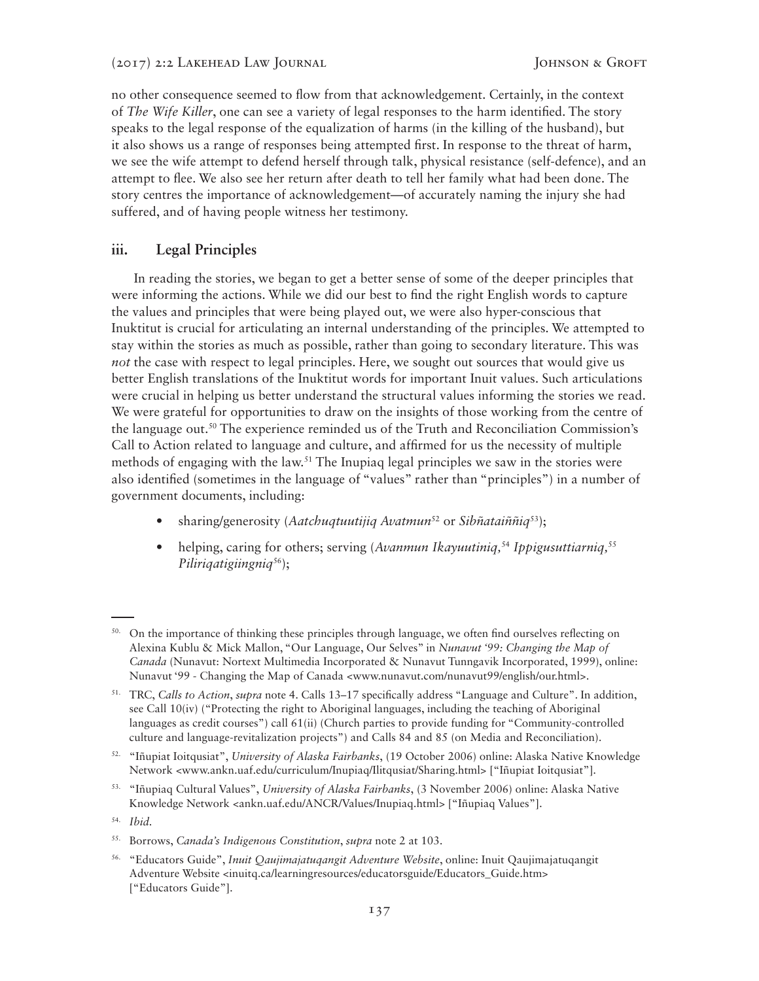no other consequence seemed to flow from that acknowledgement. Certainly, in the context of *The Wife Killer*, one can see a variety of legal responses to the harm identified. The story speaks to the legal response of the equalization of harms (in the killing of the husband), but it also shows us a range of responses being attempted first. In response to the threat of harm, we see the wife attempt to defend herself through talk, physical resistance (self-defence), and an attempt to flee. We also see her return after death to tell her family what had been done. The story centres the importance of acknowledgement—of accurately naming the injury she had suffered, and of having people witness her testimony.

### **iii. Legal Principles**

In reading the stories, we began to get a better sense of some of the deeper principles that were informing the actions. While we did our best to find the right English words to capture the values and principles that were being played out, we were also hyper-conscious that Inuktitut is crucial for articulating an internal understanding of the principles. We attempted to stay within the stories as much as possible, rather than going to secondary literature. This was *not* the case with respect to legal principles. Here, we sought out sources that would give us better English translations of the Inuktitut words for important Inuit values. Such articulations were crucial in helping us better understand the structural values informing the stories we read. We were grateful for opportunities to draw on the insights of those working from the centre of the language out.50 The experience reminded us of the Truth and Reconciliation Commission's Call to Action related to language and culture, and affirmed for us the necessity of multiple methods of engaging with the law.<sup>51</sup> The Inupiaq legal principles we saw in the stories were also identified (sometimes in the language of "values" rather than "principles") in a number of government documents, including:

- sharing/generosity (*Aatchuqtuutijiq Avatmun*52 or *Sibñataiññiq*53);
- helping, caring for others; serving (*Avanmun Ikayuutiniq*,<sup>54</sup> *Ippigusuttiarniq*,<sup>55</sup> *Piliriqatigiingniq*56);

<sup>&</sup>lt;sup>50.</sup> On the importance of thinking these principles through language, we often find ourselves reflecting on Alexina Kublu & Mick Mallon, "Our Language, Our Selves" in *Nunavut '99: Changing the Map of Canada* (Nunavut: Nortext Multimedia Incorporated & Nunavut Tunngavik Incorporated, 1999), online: Nunavut '99 - Changing the Map of Canada <www.nunavut.com/nunavut99/english/our.html>.

<sup>51.</sup> TRC, *Calls to Action*, *supra* note 4. Calls 13–17 specifically address "Language and Culture". In addition, see Call 10(iv) ("Protecting the right to Aboriginal languages, including the teaching of Aboriginal languages as credit courses") call 61(ii) (Church parties to provide funding for "Community-controlled culture and language-revitalization projects") and Calls 84 and 85 (on Media and Reconciliation).

<sup>52. &</sup>quot;Iñupiat Ioitqusiat", *University of Alaska Fairbanks*, (19 October 2006) online: Alaska Native Knowledge Network <www.ankn.uaf.edu/curriculum/Inupiaq/Ilitqusiat/Sharing.html> ["Iñupiat Ioitqusiat"].

<sup>53. &</sup>quot;Iñupiaq Cultural Values", *University of Alaska Fairbanks*, (3 November 2006) online: Alaska Native Knowledge Network <ankn.uaf.edu/ANCR/Values/Inupiaq.html> ["Iñupiaq Values"].

<sup>54.</sup> *Ibid.*

<sup>55.</sup> Borrows, *Canada's Indigenous Constitution*, *supra* note 2 at 103.

<sup>56. &</sup>quot;Educators Guide", *Inuit Qaujimajatuqangit Adventure Website*, online: Inuit Qaujimajatuqangit Adventure Website <inuitq.ca/learningresources/educatorsguide/Educators\_Guide.htm> ["Educators Guide"].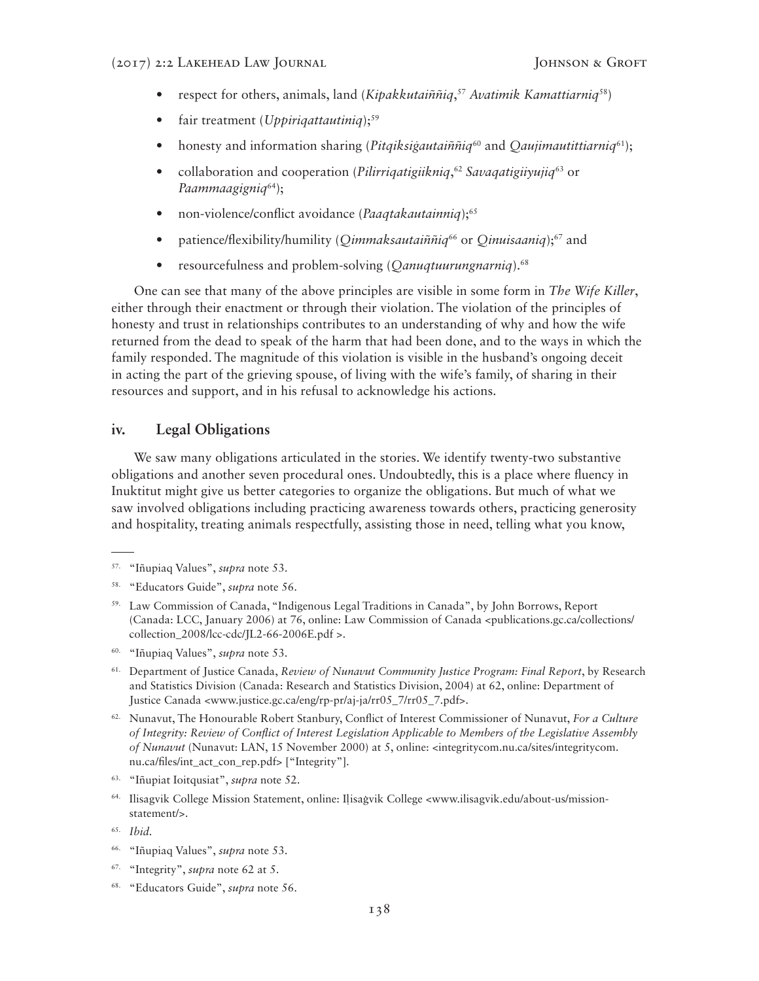- respect for others, animals, land (*Kipakkutaiññiq*, <sup>57</sup> *Avatimik Kamattiarniq*58)
- fair treatment (*Uppirigattautiniq*);<sup>59</sup>
- honesty and information sharing (*Pitqiksigautaiññiq*<sup>60</sup> and *Qaujimautittiarniq*<sup>61</sup>);
- collaboration and cooperation (*Pilirriqatigiikniq*, <sup>62</sup> *Savaqatigiiyujiq*63 or *Paammaagigniq*64);
- non-violence/conflict avoidance (*Paaqtakautainniq*);65
- patience/flexibility/humility (*Qimmaksautaiññiq*66 or *Qinuisaaniq*);67 and
- resourcefulness and problem-solving (*Qanuqtuurungnarniq*).68

One can see that many of the above principles are visible in some form in *The Wife Killer*, either through their enactment or through their violation. The violation of the principles of honesty and trust in relationships contributes to an understanding of why and how the wife returned from the dead to speak of the harm that had been done, and to the ways in which the family responded. The magnitude of this violation is visible in the husband's ongoing deceit in acting the part of the grieving spouse, of living with the wife's family, of sharing in their resources and support, and in his refusal to acknowledge his actions.

#### **iv. Legal Obligations**

We saw many obligations articulated in the stories. We identify twenty-two substantive obligations and another seven procedural ones. Undoubtedly, this is a place where fluency in Inuktitut might give us better categories to organize the obligations. But much of what we saw involved obligations including practicing awareness towards others, practicing generosity and hospitality, treating animals respectfully, assisting those in need, telling what you know,

- 60. "Iñupiaq Values", *supra* note 53.
- 61. Department of Justice Canada, *Review of Nunavut Community Justice Program: Final Report*, by Research and Statistics Division (Canada: Research and Statistics Division, 2004) at 62, online: Department of Justice Canada <www.justice.gc.ca/eng/rp-pr/aj-ja/rr05\_7/rr05\_7.pdf>.
- 62. Nunavut, The Honourable Robert Stanbury, Conflict of Interest Commissioner of Nunavut, *For a Culture of Integrity: Review of Conflict of Interest Legislation Applicable to Members of the Legislative Assembly of Nunavut* (Nunavut: LAN, 15 November 2000) at 5, online: <integritycom.nu.ca/sites/integritycom. nu.ca/files/int\_act\_con\_rep.pdf> ["Integrity"].
- 63. "Iñupiat Ioitqusiat", *supra* note 52.
- 64. Ilisagvik College Mission Statement, online: Ilisagvik College <www.ilisagvik.edu/about-us/missionstatement/>.

- 66. "Iñupiaq Values", *supra* note 53.
- 67. "Integrity", *supra* note 62 at 5.
- 68. "Educators Guide", *supra* note 56.

<sup>57.</sup> "Iñupiaq Values", *supra* note 53.

<sup>58. &</sup>quot;Educators Guide", *supra* note 56.

<sup>59.</sup> Law Commission of Canada, "Indigenous Legal Traditions in Canada", by John Borrows, Report (Canada: LCC, January 2006) at 76, online: Law Commission of Canada <publications.gc.ca/collections/ collection\_2008/lcc-cdc/JL2-66-2006E.pdf >.

<sup>65.</sup> *Ibid.*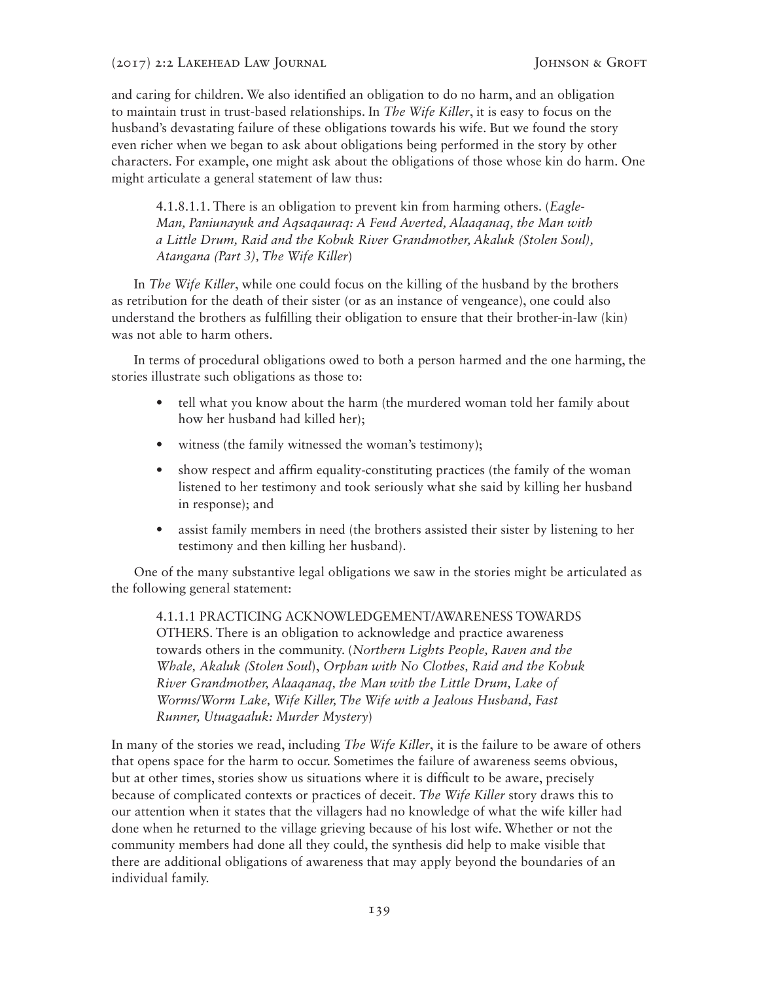and caring for children. We also identified an obligation to do no harm, and an obligation to maintain trust in trust-based relationships. In *The Wife Killer*, it is easy to focus on the husband's devastating failure of these obligations towards his wife. But we found the story even richer when we began to ask about obligations being performed in the story by other characters. For example, one might ask about the obligations of those whose kin do harm. One might articulate a general statement of law thus:

4.1.8.1.1. There is an obligation to prevent kin from harming others. (*Eagle-Man, Paniunayuk and Aqsaqauraq: A Feud Averted, Alaaqanaq, the Man with a Little Drum, Raid and the Kobuk River Grandmother, Akaluk (Stolen Soul), Atangana (Part 3), The Wife Killer*)

In *The Wife Killer*, while one could focus on the killing of the husband by the brothers as retribution for the death of their sister (or as an instance of vengeance), one could also understand the brothers as fulfilling their obligation to ensure that their brother-in-law (kin) was not able to harm others.

In terms of procedural obligations owed to both a person harmed and the one harming, the stories illustrate such obligations as those to:

- tell what you know about the harm (the murdered woman told her family about how her husband had killed her);
- witness (the family witnessed the woman's testimony);
- show respect and affirm equality-constituting practices (the family of the woman listened to her testimony and took seriously what she said by killing her husband in response); and
- assist family members in need (the brothers assisted their sister by listening to her testimony and then killing her husband).

One of the many substantive legal obligations we saw in the stories might be articulated as the following general statement:

4.1.1.1 PRACTICING ACKNOWLEDGEMENT/AWARENESS TOWARDS OTHERS. There is an obligation to acknowledge and practice awareness towards others in the community. (*Northern Lights People, Raven and the Whale, Akaluk (Stolen Soul*), *Orphan with No Clothes, Raid and the Kobuk River Grandmother, Alaaqanaq, the Man with the Little Drum, Lake of Worms/Worm Lake, Wife Killer, The Wife with a Jealous Husband, Fast Runner, Utuagaaluk: Murder Mystery*)

In many of the stories we read, including *The Wife Killer*, it is the failure to be aware of others that opens space for the harm to occur. Sometimes the failure of awareness seems obvious, but at other times, stories show us situations where it is difficult to be aware, precisely because of complicated contexts or practices of deceit. *The Wife Killer* story draws this to our attention when it states that the villagers had no knowledge of what the wife killer had done when he returned to the village grieving because of his lost wife. Whether or not the community members had done all they could, the synthesis did help to make visible that there are additional obligations of awareness that may apply beyond the boundaries of an individual family.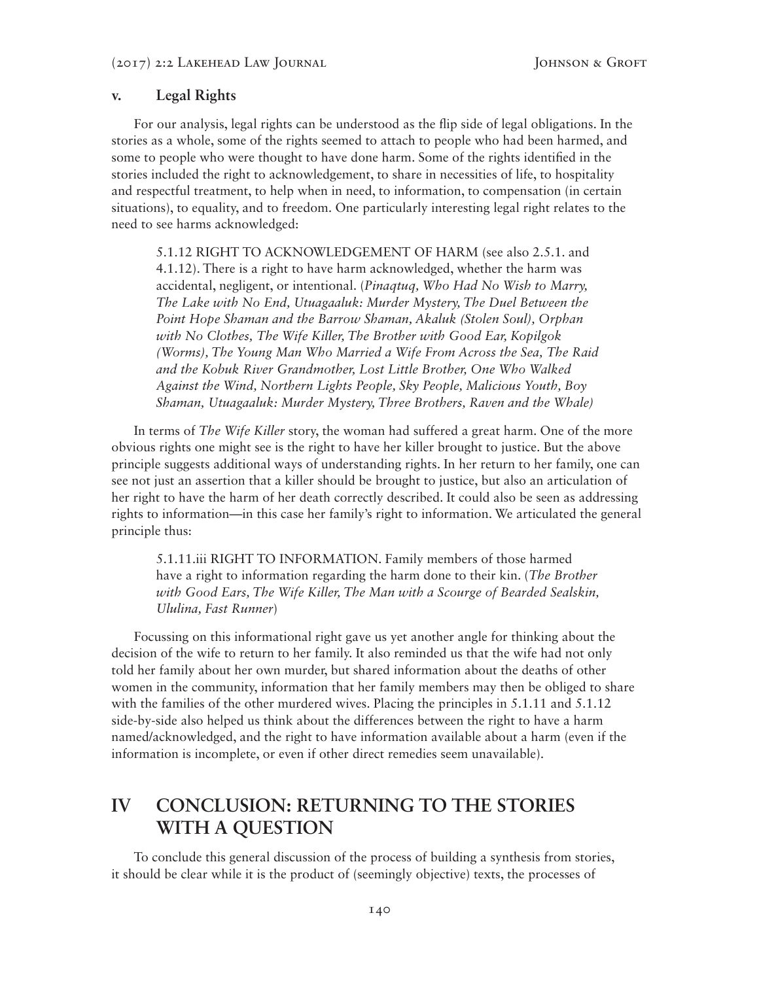#### **v. Legal Rights**

For our analysis, legal rights can be understood as the flip side of legal obligations. In the stories as a whole, some of the rights seemed to attach to people who had been harmed, and some to people who were thought to have done harm. Some of the rights identified in the stories included the right to acknowledgement, to share in necessities of life, to hospitality and respectful treatment, to help when in need, to information, to compensation (in certain situations), to equality, and to freedom. One particularly interesting legal right relates to the need to see harms acknowledged:

5.1.12 RIGHT TO ACKNOWLEDGEMENT OF HARM (see also 2.5.1. and 4.1.12). There is a right to have harm acknowledged, whether the harm was accidental, negligent, or intentional. (*Pinaqtuq, Who Had No Wish to Marry, The Lake with No End, Utuagaaluk: Murder Mystery, The Duel Between the Point Hope Shaman and the Barrow Shaman, Akaluk (Stolen Soul), Orphan with No Clothes, The Wife Killer, The Brother with Good Ear, Kopilgok (Worms), The Young Man Who Married a Wife From Across the Sea, The Raid and the Kobuk River Grandmother, Lost Little Brother, One Who Walked Against the Wind, Northern Lights People, Sky People, Malicious Youth, Boy Shaman, Utuagaaluk: Murder Mystery, Three Brothers, Raven and the Whale)*

In terms of *The Wife Killer* story, the woman had suffered a great harm. One of the more obvious rights one might see is the right to have her killer brought to justice. But the above principle suggests additional ways of understanding rights. In her return to her family, one can see not just an assertion that a killer should be brought to justice, but also an articulation of her right to have the harm of her death correctly described. It could also be seen as addressing rights to information—in this case her family's right to information. We articulated the general principle thus:

5.1.11.iii RIGHT TO INFORMATION. Family members of those harmed have a right to information regarding the harm done to their kin. (*The Brother with Good Ears, The Wife Killer, The Man with a Scourge of Bearded Sealskin, Ululina, Fast Runner*)

Focussing on this informational right gave us yet another angle for thinking about the decision of the wife to return to her family. It also reminded us that the wife had not only told her family about her own murder, but shared information about the deaths of other women in the community, information that her family members may then be obliged to share with the families of the other murdered wives. Placing the principles in 5.1.11 and 5.1.12 side-by-side also helped us think about the differences between the right to have a harm named/acknowledged, and the right to have information available about a harm (even if the information is incomplete, or even if other direct remedies seem unavailable).

# **IV CONCLUSION: RETURNING TO THE STORIES WITH A QUESTION**

To conclude this general discussion of the process of building a synthesis from stories, it should be clear while it is the product of (seemingly objective) texts, the processes of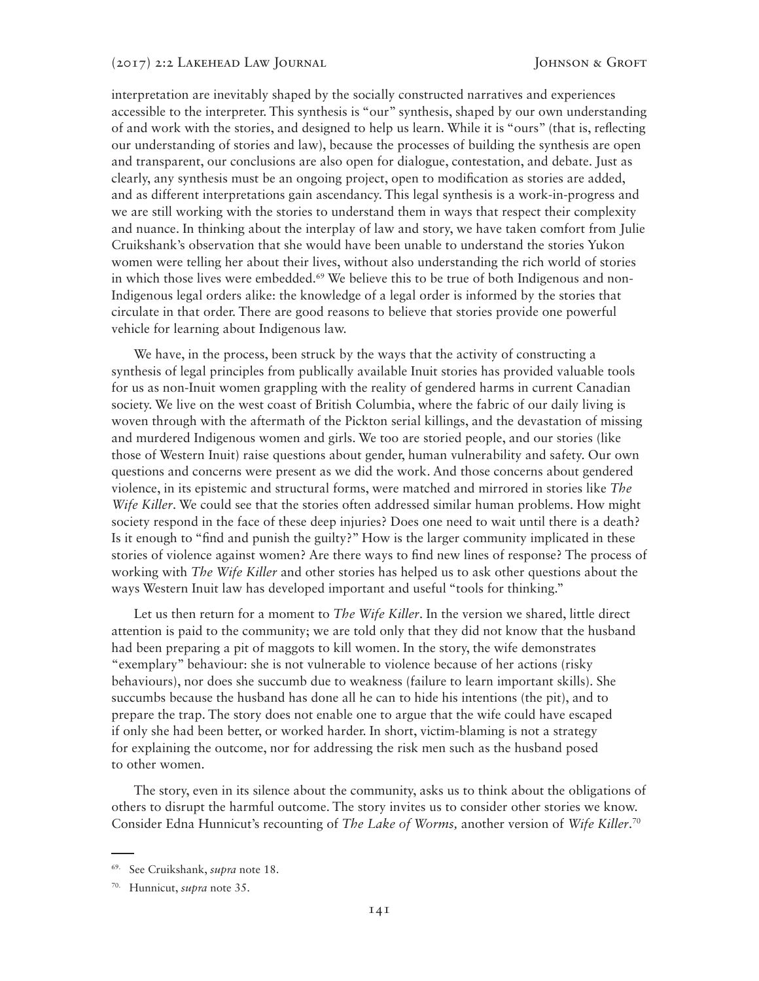interpretation are inevitably shaped by the socially constructed narratives and experiences accessible to the interpreter. This synthesis is "our" synthesis, shaped by our own understanding of and work with the stories, and designed to help us learn. While it is "ours" (that is, reflecting our understanding of stories and law), because the processes of building the synthesis are open and transparent, our conclusions are also open for dialogue, contestation, and debate. Just as clearly, any synthesis must be an ongoing project, open to modification as stories are added, and as different interpretations gain ascendancy. This legal synthesis is a work-in-progress and we are still working with the stories to understand them in ways that respect their complexity and nuance. In thinking about the interplay of law and story, we have taken comfort from Julie Cruikshank's observation that she would have been unable to understand the stories Yukon women were telling her about their lives, without also understanding the rich world of stories in which those lives were embedded.<sup>69</sup> We believe this to be true of both Indigenous and non-Indigenous legal orders alike: the knowledge of a legal order is informed by the stories that circulate in that order. There are good reasons to believe that stories provide one powerful vehicle for learning about Indigenous law.

We have, in the process, been struck by the ways that the activity of constructing a synthesis of legal principles from publically available Inuit stories has provided valuable tools for us as non-Inuit women grappling with the reality of gendered harms in current Canadian society. We live on the west coast of British Columbia, where the fabric of our daily living is woven through with the aftermath of the Pickton serial killings, and the devastation of missing and murdered Indigenous women and girls. We too are storied people, and our stories (like those of Western Inuit) raise questions about gender, human vulnerability and safety. Our own questions and concerns were present as we did the work. And those concerns about gendered violence, in its epistemic and structural forms, were matched and mirrored in stories like *The Wife Killer*. We could see that the stories often addressed similar human problems. How might society respond in the face of these deep injuries? Does one need to wait until there is a death? Is it enough to "find and punish the guilty?" How is the larger community implicated in these stories of violence against women? Are there ways to find new lines of response? The process of working with *The Wife Killer* and other stories has helped us to ask other questions about the ways Western Inuit law has developed important and useful "tools for thinking."

Let us then return for a moment to *The Wife Killer*. In the version we shared, little direct attention is paid to the community; we are told only that they did not know that the husband had been preparing a pit of maggots to kill women. In the story, the wife demonstrates "exemplary" behaviour: she is not vulnerable to violence because of her actions (risky behaviours), nor does she succumb due to weakness (failure to learn important skills). She succumbs because the husband has done all he can to hide his intentions (the pit), and to prepare the trap. The story does not enable one to argue that the wife could have escaped if only she had been better, or worked harder. In short, victim-blaming is not a strategy for explaining the outcome, nor for addressing the risk men such as the husband posed to other women.

The story, even in its silence about the community, asks us to think about the obligations of others to disrupt the harmful outcome. The story invites us to consider other stories we know. Consider Edna Hunnicut's recounting of *The Lake of Worms,* another version of *Wife Killer*. 70

<sup>69.</sup> See Cruikshank, *supra* note 18.

<sup>70.</sup> Hunnicut, *supra* note 35.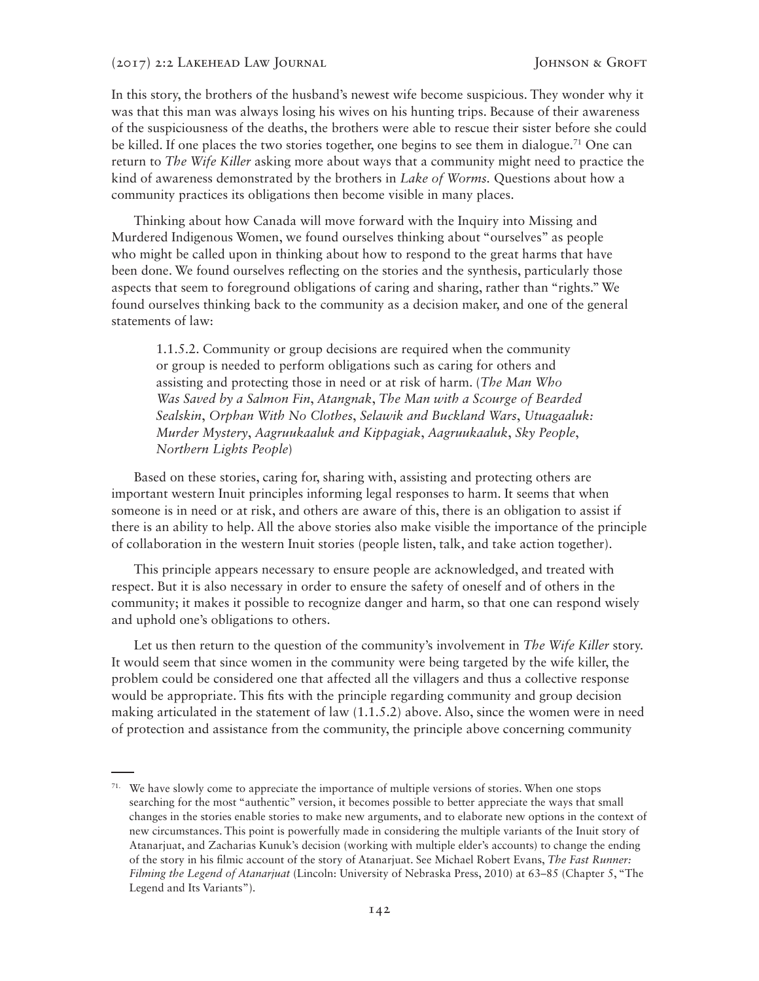In this story, the brothers of the husband's newest wife become suspicious. They wonder why it was that this man was always losing his wives on his hunting trips. Because of their awareness of the suspiciousness of the deaths, the brothers were able to rescue their sister before she could be killed. If one places the two stories together, one begins to see them in dialogue.<sup>71</sup> One can return to *The Wife Killer* asking more about ways that a community might need to practice the kind of awareness demonstrated by the brothers in *Lake of Worms.* Questions about how a community practices its obligations then become visible in many places.

Thinking about how Canada will move forward with the Inquiry into Missing and Murdered Indigenous Women, we found ourselves thinking about "ourselves" as people who might be called upon in thinking about how to respond to the great harms that have been done. We found ourselves reflecting on the stories and the synthesis, particularly those aspects that seem to foreground obligations of caring and sharing, rather than "rights." We found ourselves thinking back to the community as a decision maker, and one of the general statements of law:

1.1.5.2. Community or group decisions are required when the community or group is needed to perform obligations such as caring for others and assisting and protecting those in need or at risk of harm. (*The Man Who Was Saved by a Salmon Fin*, *Atangnak*, *The Man with a Scourge of Bearded Sealskin*, *Orphan With No Clothes*, *Selawik and Buckland Wars*, *Utuagaaluk: Murder Mystery*, *Aagruukaaluk and Kippagiak*, *Aagruukaaluk*, *Sky People*, *Northern Lights People*)

Based on these stories, caring for, sharing with, assisting and protecting others are important western Inuit principles informing legal responses to harm. It seems that when someone is in need or at risk, and others are aware of this, there is an obligation to assist if there is an ability to help. All the above stories also make visible the importance of the principle of collaboration in the western Inuit stories (people listen, talk, and take action together).

This principle appears necessary to ensure people are acknowledged, and treated with respect. But it is also necessary in order to ensure the safety of oneself and of others in the community; it makes it possible to recognize danger and harm, so that one can respond wisely and uphold one's obligations to others.

Let us then return to the question of the community's involvement in *The Wife Killer* story. It would seem that since women in the community were being targeted by the wife killer, the problem could be considered one that affected all the villagers and thus a collective response would be appropriate. This fits with the principle regarding community and group decision making articulated in the statement of law (1.1.5.2) above. Also, since the women were in need of protection and assistance from the community, the principle above concerning community

<sup>&</sup>lt;sup>71.</sup> We have slowly come to appreciate the importance of multiple versions of stories. When one stops searching for the most "authentic" version, it becomes possible to better appreciate the ways that small changes in the stories enable stories to make new arguments, and to elaborate new options in the context of new circumstances. This point is powerfully made in considering the multiple variants of the Inuit story of Atanarjuat, and Zacharias Kunuk's decision (working with multiple elder's accounts) to change the ending of the story in his filmic account of the story of Atanarjuat. See Michael Robert Evans, *The Fast Runner: Filming the Legend of Atanarjuat* (Lincoln: University of Nebraska Press, 2010) at 63–85 (Chapter 5, "The Legend and Its Variants").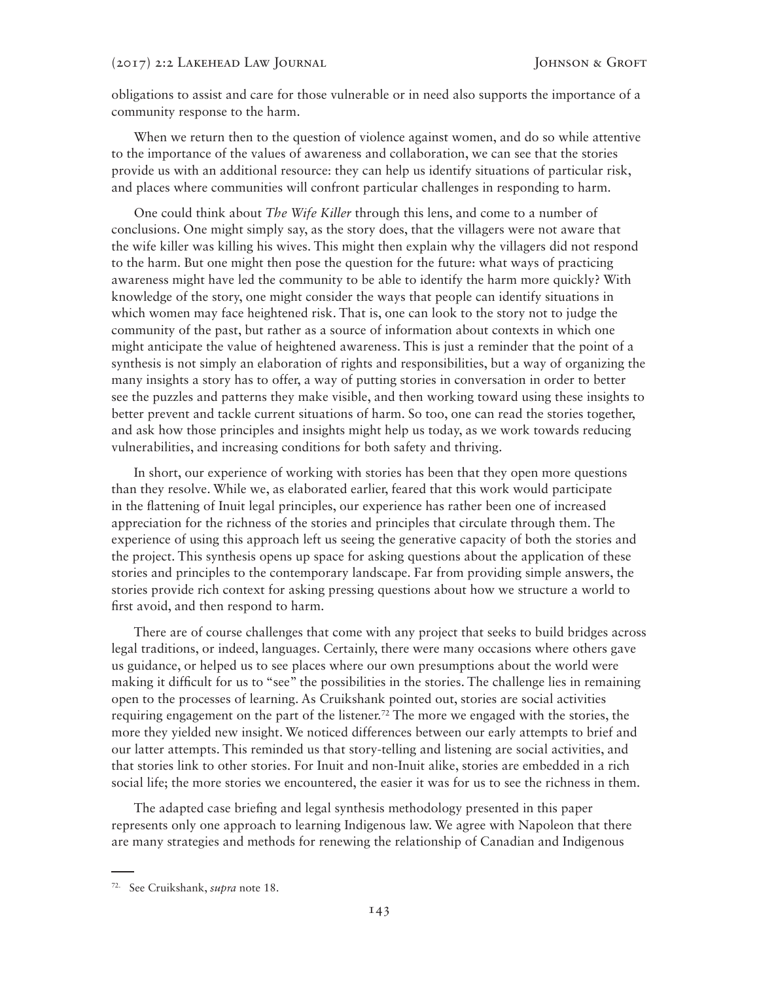obligations to assist and care for those vulnerable or in need also supports the importance of a community response to the harm.

When we return then to the question of violence against women, and do so while attentive to the importance of the values of awareness and collaboration, we can see that the stories provide us with an additional resource: they can help us identify situations of particular risk, and places where communities will confront particular challenges in responding to harm.

One could think about *The Wife Killer* through this lens, and come to a number of conclusions. One might simply say, as the story does, that the villagers were not aware that the wife killer was killing his wives. This might then explain why the villagers did not respond to the harm. But one might then pose the question for the future: what ways of practicing awareness might have led the community to be able to identify the harm more quickly? With knowledge of the story, one might consider the ways that people can identify situations in which women may face heightened risk. That is, one can look to the story not to judge the community of the past, but rather as a source of information about contexts in which one might anticipate the value of heightened awareness. This is just a reminder that the point of a synthesis is not simply an elaboration of rights and responsibilities, but a way of organizing the many insights a story has to offer, a way of putting stories in conversation in order to better see the puzzles and patterns they make visible, and then working toward using these insights to better prevent and tackle current situations of harm. So too, one can read the stories together, and ask how those principles and insights might help us today, as we work towards reducing vulnerabilities, and increasing conditions for both safety and thriving.

In short, our experience of working with stories has been that they open more questions than they resolve. While we, as elaborated earlier, feared that this work would participate in the flattening of Inuit legal principles, our experience has rather been one of increased appreciation for the richness of the stories and principles that circulate through them. The experience of using this approach left us seeing the generative capacity of both the stories and the project. This synthesis opens up space for asking questions about the application of these stories and principles to the contemporary landscape. Far from providing simple answers, the stories provide rich context for asking pressing questions about how we structure a world to first avoid, and then respond to harm.

There are of course challenges that come with any project that seeks to build bridges across legal traditions, or indeed, languages. Certainly, there were many occasions where others gave us guidance, or helped us to see places where our own presumptions about the world were making it difficult for us to "see" the possibilities in the stories. The challenge lies in remaining open to the processes of learning. As Cruikshank pointed out, stories are social activities requiring engagement on the part of the listener.<sup>72</sup> The more we engaged with the stories, the more they yielded new insight. We noticed differences between our early attempts to brief and our latter attempts. This reminded us that story-telling and listening are social activities, and that stories link to other stories. For Inuit and non-Inuit alike, stories are embedded in a rich social life; the more stories we encountered, the easier it was for us to see the richness in them.

The adapted case briefing and legal synthesis methodology presented in this paper represents only one approach to learning Indigenous law. We agree with Napoleon that there are many strategies and methods for renewing the relationship of Canadian and Indigenous

<sup>72.</sup> See Cruikshank, *supra* note 18.